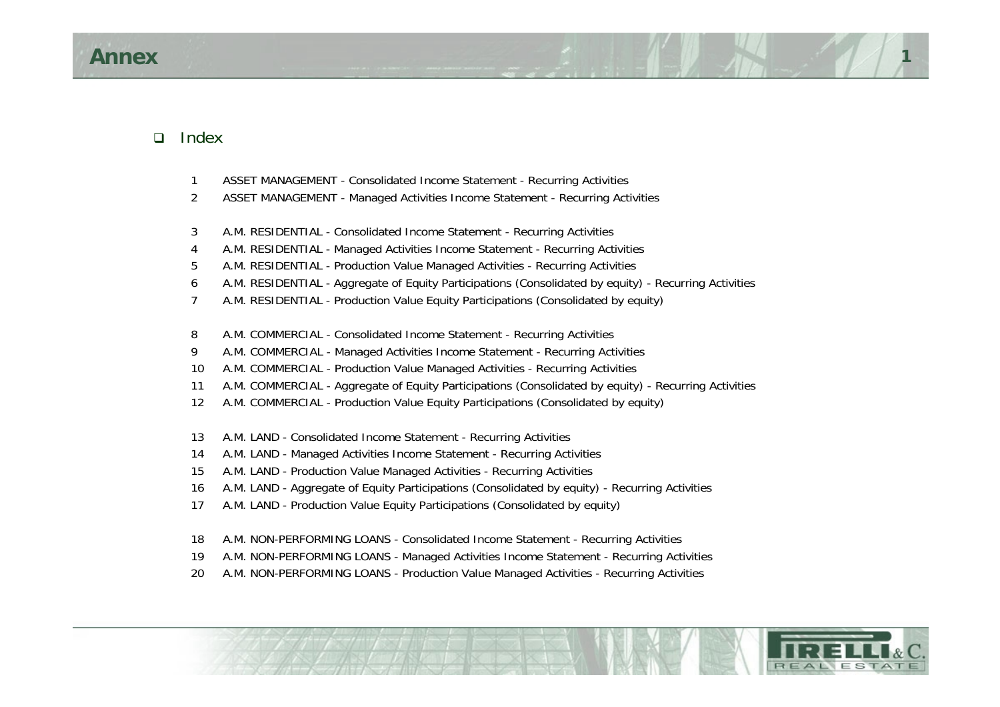#### $\Box$ Index

- ASSET MANAGEMENT Consolidated Income Statement Recurring Activities
- ASSET MANAGEMENT Managed Activities Income Statement Recurring Activities
- A.M. RESIDENTIAL Consolidated Income Statement Recurring Activities
- A.M. RESIDENTIAL Managed Activities Income Statement Recurring Activities
- A.M. RESIDENTIAL Production Value Managed Activities Recurring Activities
- A.M. RESIDENTIAL Aggregate of Equity Participations (Consolidated by equity) Recurring Activities
- A.M. RESIDENTIAL Production Value Equity Participations (Consolidated by equity)
- A.M. COMMERCIAL Consolidated Income Statement Recurring Activities
- A.M. COMMERCIAL Managed Activities Income Statement Recurring Activities
- A.M. COMMERCIAL Production Value Managed Activities Recurring Activities
- A.M. COMMERCIAL Aggregate of Equity Participations (Consolidated by equity) Recurring Activities
- A.M. COMMERCIAL Production Value Equity Participations (Consolidated by equity)
- A.M. LAND Consolidated Income Statement Recurring Activities
- A.M. LAND Managed Activities Income Statement Recurring Activities
- A.M. LAND Production Value Managed Activities Recurring Activities
- A.M. LAND Aggregate of Equity Participations (Consolidated by equity) Recurring Activities
- A.M. LAND Production Value Equity Participations (Consolidated by equity)
- A.M. NON-PERFORMING LOANS Consolidated Income Statement Recurring Activities
- A.M. NON-PERFORMING LOANS Managed Activities Income Statement Recurring Activities
- A.M. NON-PERFORMING LOANS Production Value Managed Activities Recurring Activities

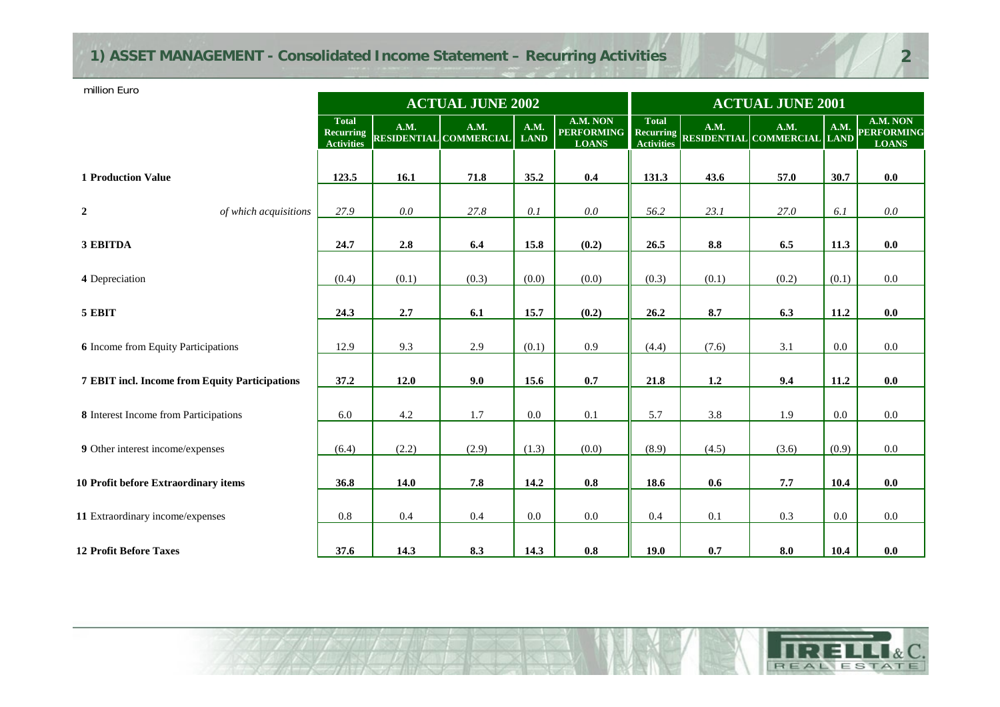# **1) ASSET MANAGEMENT - Consolidated Income Statement – Recurring Activities**

million Euro

|                                                |                                                       |             | <b>ACTUAL JUNE 2002</b>               |                            |                                                         |                                   | <b>ACTUAL JUNE 2001</b> |                                     |         |                                               |
|------------------------------------------------|-------------------------------------------------------|-------------|---------------------------------------|----------------------------|---------------------------------------------------------|-----------------------------------|-------------------------|-------------------------------------|---------|-----------------------------------------------|
|                                                | <b>Total</b><br><b>Recurring</b><br><b>Activities</b> | <b>A.M.</b> | A.M.<br><b>RESIDENTIAL COMMERCIAL</b> | <b>A.M.</b><br><b>LAND</b> | A.M. NON<br><b>PERFORMING</b> Recurring<br><b>LOANS</b> | <b>Total</b><br><b>Activities</b> | A.M.                    | A.M.<br>RESIDENTIAL COMMERCIAL LAND | A.M.    | A.M. NON<br><b>PERFORMING</b><br><b>LOANS</b> |
| <b>1 Production Value</b>                      | 123.5                                                 | 16.1        | 71.8                                  | 35.2                       | 0.4                                                     | 131.3                             | 43.6                    | 57.0                                | 30.7    | 0.0                                           |
| $\overline{2}$<br>of which acquisitions        | 27.9                                                  | $0.0\,$     | 27.8                                  | $0.1\,$                    | 0.0                                                     | 56.2                              | 23.1                    | 27.0                                | 6.1     | 0.0                                           |
| 3 EBITDA                                       | 24.7                                                  | 2.8         | 6.4                                   | 15.8                       | (0.2)                                                   | 26.5                              | $\bf 8.8$               | 6.5                                 | 11.3    | 0.0                                           |
| 4 Depreciation                                 | (0.4)                                                 | (0.1)       | (0.3)                                 | (0.0)                      | (0.0)                                                   | (0.3)                             | (0.1)                   | (0.2)                               | (0.1)   | $0.0\,$                                       |
| 5 EBIT                                         | 24.3                                                  | 2.7         | 6.1                                   | 15.7                       | (0.2)                                                   | 26.2                              | 8.7                     | 6.3                                 | 11.2    | 0.0                                           |
| <b>6</b> Income from Equity Participations     | 12.9                                                  | 9.3         | 2.9                                   | (0.1)                      | 0.9                                                     | (4.4)                             | (7.6)                   | 3.1                                 | $0.0\,$ | $0.0\,$                                       |
| 7 EBIT incl. Income from Equity Participations | 37.2                                                  | 12.0        | 9.0                                   | 15.6                       | 0.7                                                     | 21.8                              | 1.2                     | 9.4                                 | 11.2    | 0.0                                           |
| 8 Interest Income from Participations          | 6.0                                                   | 4.2         | $1.7\,$                               | $0.0\,$                    | 0.1                                                     | 5.7                               | 3.8                     | 1.9                                 | $0.0\,$ | $0.0\,$                                       |
| 9 Other interest income/expenses               | (6.4)                                                 | (2.2)       | (2.9)                                 | (1.3)                      | (0.0)                                                   | (8.9)                             | (4.5)                   | (3.6)                               | (0.9)   | $0.0\,$                                       |
| 10 Profit before Extraordinary items           | 36.8                                                  | 14.0        | 7.8                                   | 14.2                       | 0.8                                                     | 18.6                              | 0.6                     | 7.7                                 | 10.4    | 0.0                                           |
| 11 Extraordinary income/expenses               | $0.8\,$                                               | 0.4         | 0.4                                   | 0.0                        | 0.0                                                     | 0.4                               | 0.1                     | 0.3                                 | $0.0\,$ | 0.0                                           |
| <b>12 Profit Before Taxes</b>                  | 37.6                                                  | 14.3        | 8.3                                   | 14.3                       | $0.8\,$                                                 | 19.0                              | 0.7                     | 8.0                                 | 10.4    | $0.0\,$                                       |

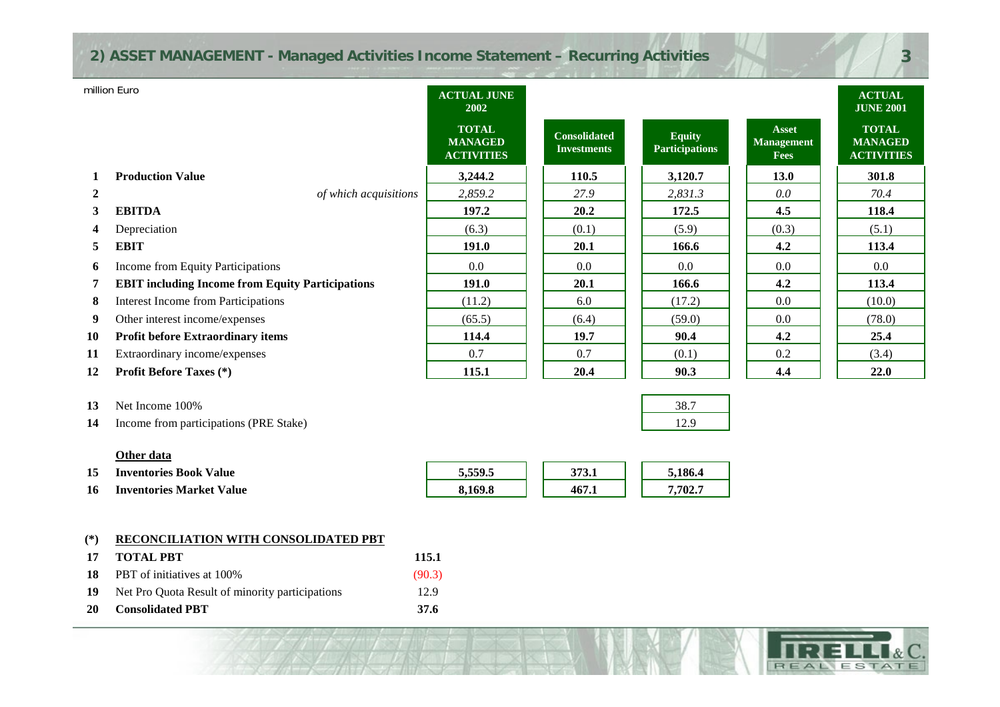### **2) ASSET MANAGEMENT - Managed Activities Income Statement – Recurring Activities**

|                | million Euro                                            | <b>ACTUAL JUNE</b><br>2002                          |                                           |                                        |                                                  | <b>ACTUAL</b><br><b>JUNE 2001</b>                   |
|----------------|---------------------------------------------------------|-----------------------------------------------------|-------------------------------------------|----------------------------------------|--------------------------------------------------|-----------------------------------------------------|
|                |                                                         | <b>TOTAL</b><br><b>MANAGED</b><br><b>ACTIVITIES</b> | <b>Consolidated</b><br><b>Investments</b> | <b>Equity</b><br><b>Participations</b> | <b>Asset</b><br><b>Management</b><br><b>Fees</b> | <b>TOTAL</b><br><b>MANAGED</b><br><b>ACTIVITIES</b> |
| 1              | <b>Production Value</b>                                 | 3,244.2                                             | 110.5                                     | 3,120.7                                | <b>13.0</b>                                      | 301.8                                               |
| $\overline{2}$ | of which acquisitions                                   | 2,859.2                                             | 27.9                                      | 2,831.3                                | 0.0                                              | 70.4                                                |
| 3              | <b>EBITDA</b>                                           | 197.2                                               | 20.2                                      | 172.5                                  | 4.5                                              | 118.4                                               |
| 4              | Depreciation                                            | (6.3)                                               | (0.1)                                     | (5.9)                                  | (0.3)                                            | (5.1)                                               |
| 5.             | <b>EBIT</b>                                             | 191.0                                               | 20.1                                      | 166.6                                  | 4.2                                              | 113.4                                               |
| 6              | Income from Equity Participations                       | $0.0\,$                                             | 0.0                                       | 0.0                                    | 0.0                                              | 0.0                                                 |
| 7              | <b>EBIT including Income from Equity Participations</b> | <b>191.0</b>                                        | 20.1                                      | 166.6                                  | 4.2                                              | 113.4                                               |
| 8              | <b>Interest Income from Participations</b>              | (11.2)                                              | 6.0                                       | (17.2)                                 | 0.0                                              | (10.0)                                              |
| 9              | Other interest income/expenses                          | (65.5)                                              | (6.4)                                     | (59.0)                                 | 0.0                                              | (78.0)                                              |
| 10             | <b>Profit before Extraordinary items</b>                | 114.4                                               | 19.7                                      | 90.4                                   | 4.2                                              | 25.4                                                |
| 11             | Extraordinary income/expenses                           | 0.7                                                 | 0.7                                       | (0.1)                                  | 0.2                                              | (3.4)                                               |
| 12             | <b>Profit Before Taxes</b> (*)                          | 115.1                                               | 20.4                                      | 90.3                                   | 4.4                                              | 22.0                                                |

- **13** Net Income 100% $\%$  38.7
- **14**Income from participations (PRE Stake) 12.9

#### **Other data**

- **15Inventories Book Value 5,559.5 5,559.5 5,186.4 5,186.4**
- **16Inventories Market Value 8,169.8 467.1 7,702.7**

| 0.4500<br>ີ |  |  |  |
|-------------|--|--|--|
|             |  |  |  |

#### **17 (\*) RECONCILIATION WITH CONSOLIDATED PBT**

| -17 | <b>TOTAL PRT</b>                                | 115.1  |
|-----|-------------------------------------------------|--------|
| 18  | <b>PBT</b> of initiatives at 100%               | (90.3) |
| 19  | Net Pro Quota Result of minority participations | 12.9   |
| 20  | <b>Consolidated PBT</b>                         | 37.6   |

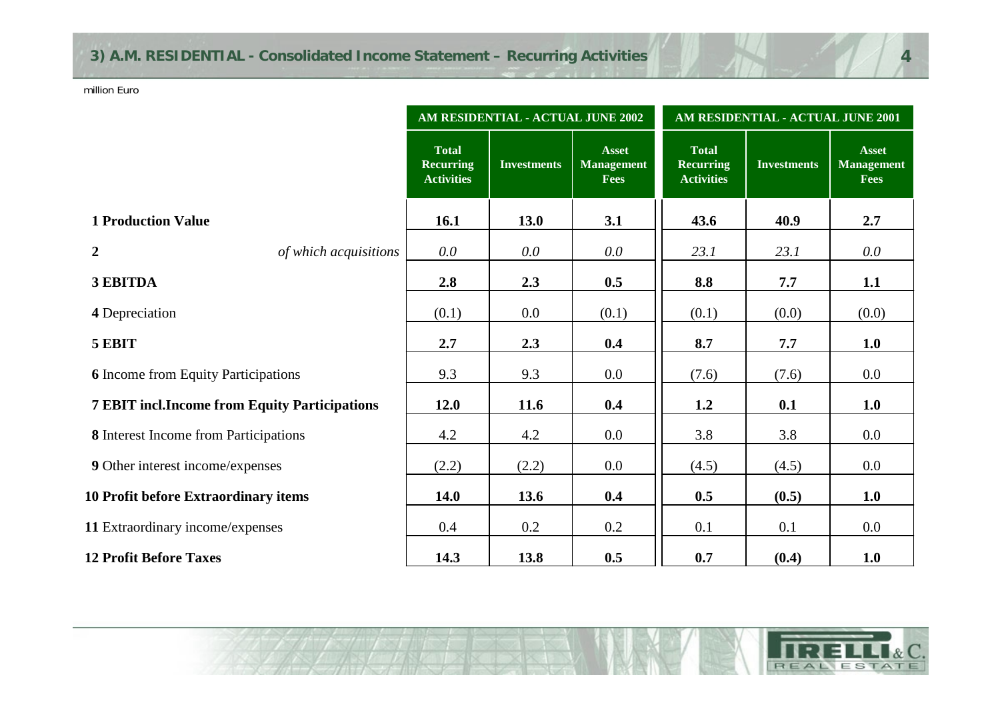|                                                      |                                                       | AM RESIDENTIAL - ACTUAL JUNE 2002 |                                           | AM RESIDENTIAL - ACTUAL JUNE 2001                     |                    |                                                  |  |
|------------------------------------------------------|-------------------------------------------------------|-----------------------------------|-------------------------------------------|-------------------------------------------------------|--------------------|--------------------------------------------------|--|
|                                                      | <b>Total</b><br><b>Recurring</b><br><b>Activities</b> | <b>Investments</b>                | <b>Asset</b><br><b>Management</b><br>Fees | <b>Total</b><br><b>Recurring</b><br><b>Activities</b> | <b>Investments</b> | <b>Asset</b><br><b>Management</b><br><b>Fees</b> |  |
| <b>1 Production Value</b>                            | 16.1                                                  | 13.0                              | 3.1                                       | 43.6                                                  | 40.9               | 2.7                                              |  |
| $\overline{2}$<br>of which acquisitions              | $0.0\,$                                               | 0.0                               | $0.0\,$                                   | 23.1                                                  | 23.1               | $0.0\,$                                          |  |
| 3 EBITDA                                             | 2.8                                                   | 2.3                               | 0.5                                       | 8.8                                                   | 7.7                | 1.1                                              |  |
| 4 Depreciation                                       | (0.1)                                                 | 0.0                               | (0.1)                                     | (0.1)                                                 | (0.0)              | (0.0)                                            |  |
| 5 EBIT                                               | 2.7                                                   | 2.3                               | 0.4                                       | 8.7                                                   | 7.7                | 1.0                                              |  |
| <b>6</b> Income from Equity Participations           | 9.3                                                   | 9.3                               | $0.0\,$                                   | (7.6)                                                 | (7.6)              | $0.0\,$                                          |  |
| <b>7 EBIT incl.Income from Equity Participations</b> | <b>12.0</b>                                           | 11.6                              | 0.4                                       | 1.2                                                   | 0.1                | 1.0                                              |  |
| 8 Interest Income from Participations                | 4.2                                                   | 4.2                               | $0.0\,$                                   | 3.8                                                   | 3.8                | 0.0                                              |  |
| 9 Other interest income/expenses                     | (2.2)                                                 | (2.2)                             | $0.0\,$                                   | (4.5)                                                 | (4.5)              | $0.0\,$                                          |  |
| 10 Profit before Extraordinary items                 | <b>14.0</b>                                           | 13.6                              | 0.4                                       | 0.5                                                   | (0.5)              | 1.0                                              |  |
| 11 Extraordinary income/expenses                     | 0.4                                                   | 0.2                               | 0.2                                       | 0.1                                                   | 0.1                | 0.0                                              |  |
| <b>12 Profit Before Taxes</b>                        | 14.3                                                  | 13.8                              | 0.5                                       | 0.7                                                   | (0.4)              | 1.0                                              |  |

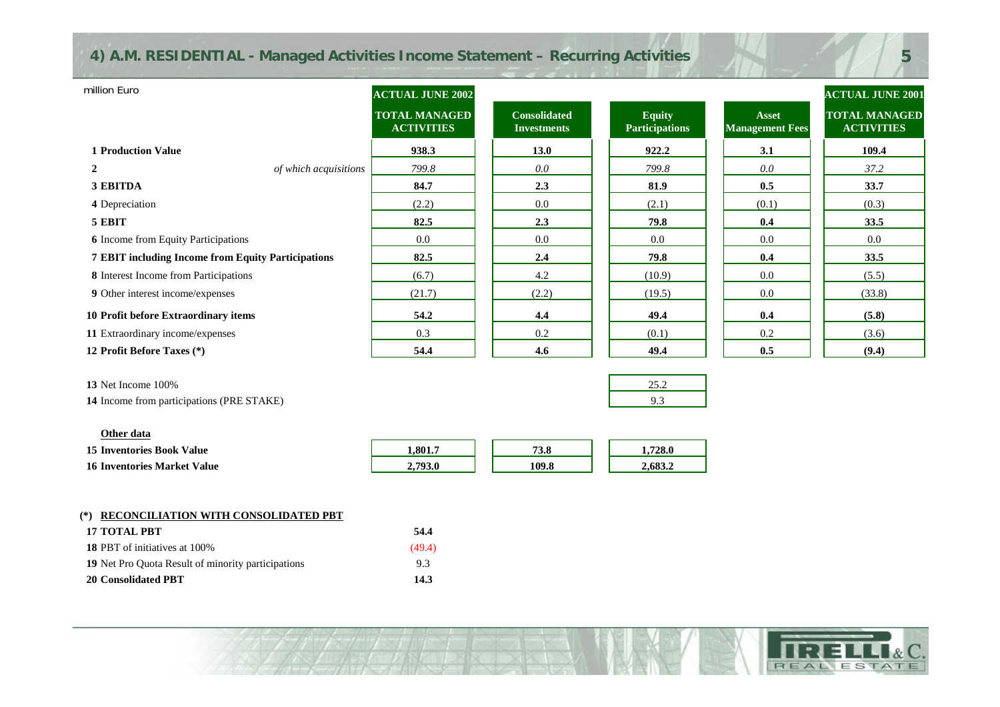### **4) A.M. RESIDENTIAL - Managed Activities Income Statement – Recurring Activities**

| million Euro                                              | <b>ACTUAL JUNE 2002</b>                   |                                           |                                        |                                        | <b>ACTUAL JUNE 2001</b>                   |
|-----------------------------------------------------------|-------------------------------------------|-------------------------------------------|----------------------------------------|----------------------------------------|-------------------------------------------|
|                                                           | <b>TOTAL MANAGED</b><br><b>ACTIVITIES</b> | <b>Consolidated</b><br><b>Investments</b> | <b>Equity</b><br><b>Participations</b> | <b>Asset</b><br><b>Management Fees</b> | <b>TOTAL MANAGED</b><br><b>ACTIVITIES</b> |
| <b>1 Production Value</b>                                 | 938.3                                     | <b>13.0</b>                               | 922.2                                  | 3.1                                    | 109.4                                     |
| $\overline{2}$<br>of which acquisitions                   | 799.8                                     | 0.0                                       | 799.8                                  | 0.0                                    | 37.2                                      |
| 3 EBITDA                                                  | 84.7                                      | 2.3                                       | 81.9                                   | 0.5                                    | 33.7                                      |
| 4 Depreciation                                            | (2.2)                                     | 0.0                                       | (2.1)                                  | (0.1)                                  | (0.3)                                     |
| 5 EBIT                                                    | 82.5                                      | 2.3                                       | 79.8                                   | 0.4                                    | 33.5                                      |
| <b>6</b> Income from Equity Participations                | 0.0                                       | 0.0                                       | 0.0                                    | 0.0                                    | 0.0                                       |
| <b>7 EBIT including Income from Equity Participations</b> | 82.5                                      | 2.4                                       | 79.8                                   | 0.4                                    | 33.5                                      |
| 8 Interest Income from Participations                     | (6.7)                                     | 4.2                                       | (10.9)                                 | 0.0                                    | (5.5)                                     |
| 9 Other interest income/expenses                          | (21.7)                                    | (2.2)                                     | (19.5)                                 | 0.0                                    | (33.8)                                    |
| 10 Profit before Extraordinary items                      | 54.2                                      | 4.4                                       | 49.4                                   | 0.4                                    | (5.8)                                     |
| 11 Extraordinary income/expenses                          | 0.3                                       | 0.2                                       | (0.1)                                  | 0.2                                    | (3.6)                                     |
| 12 Profit Before Taxes (*)                                | 54.4                                      | 4.6                                       | 49.4                                   | 0.5                                    | (9.4)                                     |
| 13 Net Income 100%                                        |                                           |                                           | 25.2                                   |                                        |                                           |

**14** Income from participations (PRE STAKE) 9.3

| Other data                         |         |       |         |
|------------------------------------|---------|-------|---------|
| <b>15 Inventories Book Value</b>   | 1.801.7 | 73.8  | .728.0  |
| <b>16 Inventories Market Value</b> | 2,793.0 | 109.8 | 2.683.2 |

### **(\*) RECONCILIATION WITH CONSOLIDATED PBT**

| <b>17 TOTAL PBT</b>                                | 54.4   |
|----------------------------------------------------|--------|
| <b>18 PBT</b> of initiatives at 100%               | (49.4) |
| 19 Net Pro Quota Result of minority participations | 9.3    |
| 20 Consolidated PBT                                | 14.3   |

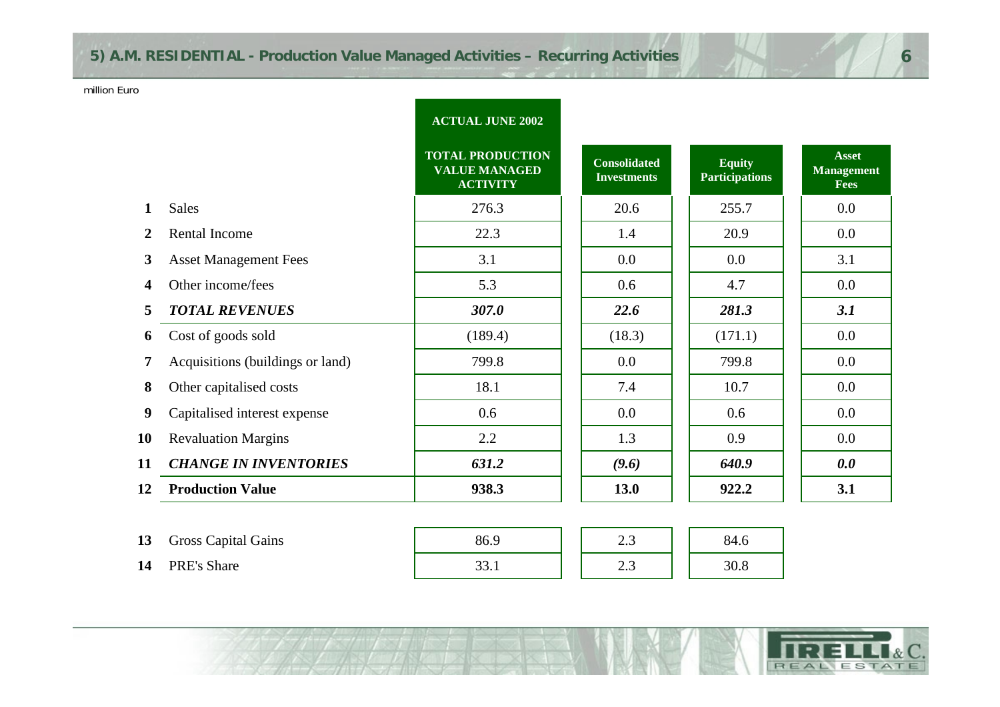# **5) A.M. RESIDENTIAL - Production Value Managed Activities – Recurring Activities**

### million Euro

|                |                                  | <b>ACTUAL JUNE 2002</b>                                            |                                           |                                        |                                                  |
|----------------|----------------------------------|--------------------------------------------------------------------|-------------------------------------------|----------------------------------------|--------------------------------------------------|
|                |                                  | <b>TOTAL PRODUCTION</b><br><b>VALUE MANAGED</b><br><b>ACTIVITY</b> | <b>Consolidated</b><br><b>Investments</b> | <b>Equity</b><br><b>Participations</b> | <b>Asset</b><br><b>Management</b><br><b>Fees</b> |
| 1              | <b>Sales</b>                     | 276.3                                                              | 20.6                                      | 255.7                                  | 0.0                                              |
| 2              | Rental Income                    | 22.3                                                               | 1.4                                       | 20.9                                   | 0.0                                              |
| 3 <sup>1</sup> | <b>Asset Management Fees</b>     | 3.1                                                                | 0.0                                       | 0.0                                    | 3.1                                              |
| 4              | Other income/fees                | 5.3                                                                | 0.6                                       | 4.7                                    | 0.0                                              |
| 5              | <b>TOTAL REVENUES</b>            | 307.0                                                              | 22.6                                      | 281.3                                  | 3.1                                              |
| 6              | Cost of goods sold               | (189.4)                                                            | (18.3)                                    | (171.1)                                | 0.0                                              |
| 7              | Acquisitions (buildings or land) | 799.8                                                              | 0.0                                       | 799.8                                  | 0.0                                              |
| 8              | Other capitalised costs          | 18.1                                                               | 7.4                                       | 10.7                                   | 0.0                                              |
| 9              | Capitalised interest expense     | 0.6                                                                | 0.0                                       | 0.6                                    | 0.0                                              |
| 10             | <b>Revaluation Margins</b>       | 2.2                                                                | 1.3                                       | 0.9                                    | 0.0                                              |
| 11             | <b>CHANGE IN INVENTORIES</b>     | 631.2                                                              | (9.6)                                     | 640.9                                  | 0.0                                              |
| 12             | <b>Production Value</b>          | 938.3                                                              | 13.0                                      | 922.2                                  | 3.1                                              |
|                |                                  |                                                                    |                                           |                                        |                                                  |
| 13             | <b>Gross Capital Gains</b>       | 86.9                                                               | 2.3                                       | 84.6                                   |                                                  |
| 14             | PRE's Share                      | 33.1                                                               | 2.3                                       | 30.8                                   |                                                  |

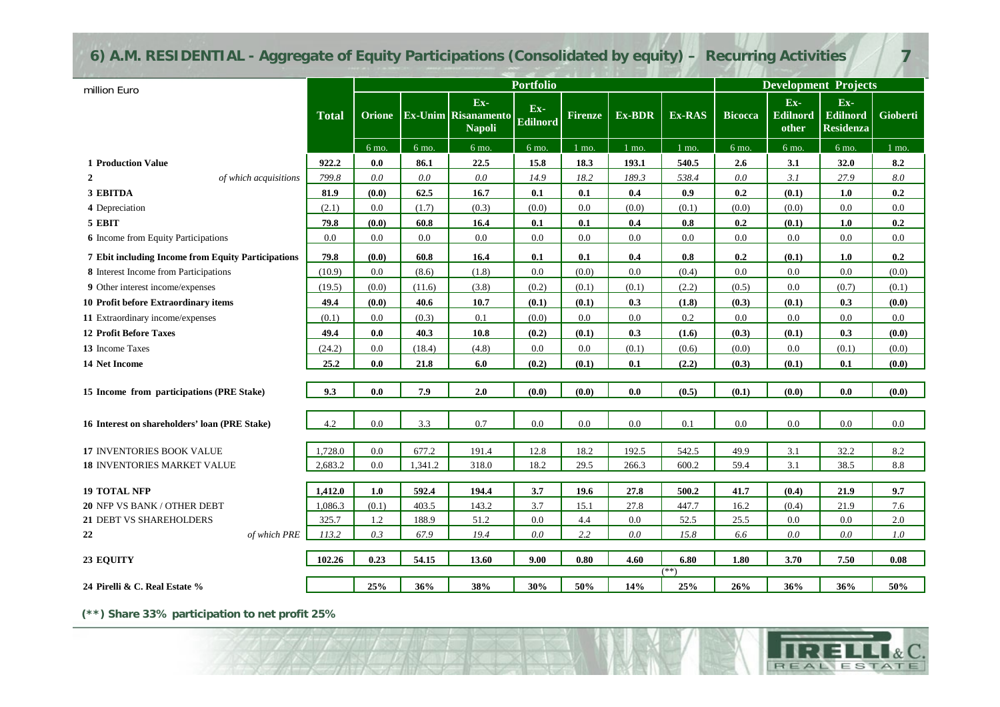# **6) A.M. RESIDENTIAL - Aggregate of Equity Participations (Consolidated by equity) – Recurring Activities**

|                                                    |              | <b>Portfolio</b> |         |                                                    |                          | <b>Development Projects</b> |         |                |                |                                 |                                     |          |
|----------------------------------------------------|--------------|------------------|---------|----------------------------------------------------|--------------------------|-----------------------------|---------|----------------|----------------|---------------------------------|-------------------------------------|----------|
| million Euro                                       | <b>Total</b> | <b>Orione</b>    |         | Ex-<br><b>Ex-Unim Risanamento</b><br><b>Napoli</b> | $Ex-$<br><b>Edilnord</b> | <b>Firenze</b>              | Ex-BDR  | Ex-RAS         | <b>Bicocca</b> | Ex-<br><b>Edilnord</b><br>other | Ex-<br>Edilnord<br><b>Residenza</b> | Gioberti |
|                                                    |              | 6 mo.            | 6 mo.   | 6 mo.                                              | 6 mo.                    | $1$ mo.                     | $1$ mo. | $1$ mo.        | 6 mo.          | 6 mo.                           | 6 mo.                               | 1 mo.    |
| <b>1 Production Value</b>                          | 922.2        | 0.0              | 86.1    | 22.5                                               | 15.8                     | 18.3                        | 193.1   | 540.5          | 2.6            | 3.1                             | 32.0                                | 8.2      |
| $\overline{2}$<br>of which acquisitions            | 799.8        | 0.0              | 0.0     | 0.0                                                | 14.9                     | 18.2                        | 189.3   | 538.4          | 0.0            | 3.1                             | 27.9                                | 8.0      |
| 3 EBITDA                                           | 81.9         | (0.0)            | 62.5    | 16.7                                               | 0.1                      | 0.1                         | 0.4     | 0.9            | 0.2            | (0.1)                           | 1.0                                 | 0.2      |
| 4 Depreciation                                     | (2.1)        | 0.0              | (1.7)   | (0.3)                                              | (0.0)                    | 0.0                         | (0.0)   | (0.1)          | (0.0)          | (0.0)                           | 0.0                                 | 0.0      |
| 5 EBIT                                             | 79.8         | (0.0)            | 60.8    | 16.4                                               | 0.1                      | 0.1                         | 0.4     | 0.8            | 0.2            | (0.1)                           | 1.0                                 | 0.2      |
| <b>6</b> Income from Equity Participations         | 0.0          | 0.0              | 0.0     | $0.0\,$                                            | 0.0                      | 0.0                         | 0.0     | 0.0            | 0.0            | 0.0                             | 0.0                                 | 0.0      |
| 7 Ebit including Income from Equity Participations | 79.8         | (0.0)            | 60.8    | 16.4                                               | 0.1                      | 0.1                         | 0.4     | 0.8            | 0.2            | (0.1)                           | 1.0                                 | 0.2      |
| 8 Interest Income from Participations              | (10.9)       | 0.0              | (8.6)   | (1.8)                                              | $0.0\,$                  | (0.0)                       | $0.0\,$ | (0.4)          | $0.0\,$        | 0.0                             | 0.0                                 | (0.0)    |
| 9 Other interest income/expenses                   | (19.5)       | (0.0)            | (11.6)  | (3.8)                                              | (0.2)                    | (0.1)                       | (0.1)   | (2.2)          | (0.5)          | 0.0                             | (0.7)                               | (0.1)    |
| 10 Profit before Extraordinary items               | 49.4         | (0.0)            | 40.6    | 10.7                                               | (0.1)                    | (0.1)                       | 0.3     | (1.8)          | (0.3)          | (0.1)                           | 0.3                                 | (0.0)    |
| 11 Extraordinary income/expenses                   | (0.1)        | 0.0              | (0.3)   | 0.1                                                | (0.0)                    | 0.0                         | 0.0     | 0.2            | 0.0            | 0.0                             | 0.0                                 | 0.0      |
| <b>12 Profit Before Taxes</b>                      | 49.4         | 0.0              | 40.3    | 10.8                                               | (0.2)                    | (0.1)                       | 0.3     | (1.6)          | (0.3)          | (0.1)                           | 0.3                                 | (0.0)    |
| 13 Income Taxes                                    | (24.2)       | 0.0              | (18.4)  | (4.8)                                              | 0.0                      | 0.0                         | (0.1)   | (0.6)          | (0.0)          | 0.0                             | (0.1)                               | (0.0)    |
| <b>14 Net Income</b>                               | 25.2         | 0.0              | 21.8    | 6.0                                                | (0.2)                    | (0.1)                       | 0.1     | (2.2)          | (0.3)          | (0.1)                           | 0.1                                 | (0.0)    |
|                                                    |              |                  |         |                                                    |                          |                             |         |                |                |                                 |                                     |          |
| 15 Income from participations (PRE Stake)          | 9.3          | $0.0\,$          | 7.9     | 2.0                                                | (0.0)                    | (0.0)                       | 0.0     | (0.5)          | (0.1)          | (0.0)                           | 0.0                                 | (0.0)    |
| 16 Interest on shareholders' loan (PRE Stake)      | 4.2          | 0.0              | 3.3     | 0.7                                                | 0.0                      | 0.0                         | 0.0     | 0.1            | 0.0            | 0.0                             | 0.0                                 | 0.0      |
| 17 INVENTORIES BOOK VALUE                          | 1,728.0      | 0.0              | 677.2   | 191.4                                              | 12.8                     | 18.2                        | 192.5   | 542.5          | 49.9           | 3.1                             | 32.2                                | 8.2      |
| <b>18 INVENTORIES MARKET VALUE</b>                 | 2,683.2      | 0.0              | 1,341.2 | 318.0                                              | 18.2                     | 29.5                        | 266.3   | 600.2          | 59.4           | 3.1                             | 38.5                                | 8.8      |
| <b>19 TOTAL NFP</b>                                | 1,412.0      | 1.0              | 592.4   | 194.4                                              | 3.7                      | 19.6                        | 27.8    | 500.2          | 41.7           | (0.4)                           | 21.9                                | 9.7      |
| 20 NFP VS BANK / OTHER DEBT                        | 1,086.3      | (0.1)            | 403.5   | 143.2                                              | 3.7                      | 15.1                        | 27.8    | 447.7          | 16.2           | (0.4)                           | 21.9                                | 7.6      |
| 21 DEBT VS SHAREHOLDERS                            | 325.7        | 1.2              | 188.9   | 51.2                                               | $0.0\,$                  | 4.4                         | $0.0\,$ | 52.5           | 25.5           | $0.0\,$                         | $0.0\,$                             | 2.0      |
| 22<br>of which PRE                                 | 113.2        | 0.3              | 67.9    | 19.4                                               | 0.0                      | 2.2                         | 0.0     | 15.8           | 6.6            | $0.0\,$                         | $0.0\,$                             | 1.0      |
|                                                    |              |                  |         |                                                    |                          |                             |         |                |                |                                 |                                     |          |
| 23 EQUITY                                          | 102.26       | 0.23             | 54.15   | 13.60                                              | 9.00                     | 0.80                        | 4.60    | 6.80<br>$(**)$ | 1.80           | 3.70                            | 7.50                                | $0.08\,$ |
| 24 Pirelli & C. Real Estate %                      |              | 25%              | 36%     | 38%                                                | 30%                      | 50%                         | 14%     | 25%            | 26%            | 36%                             | 36%                                 | 50%      |

**(\*\*) Share 33% participation to net profit 25%**

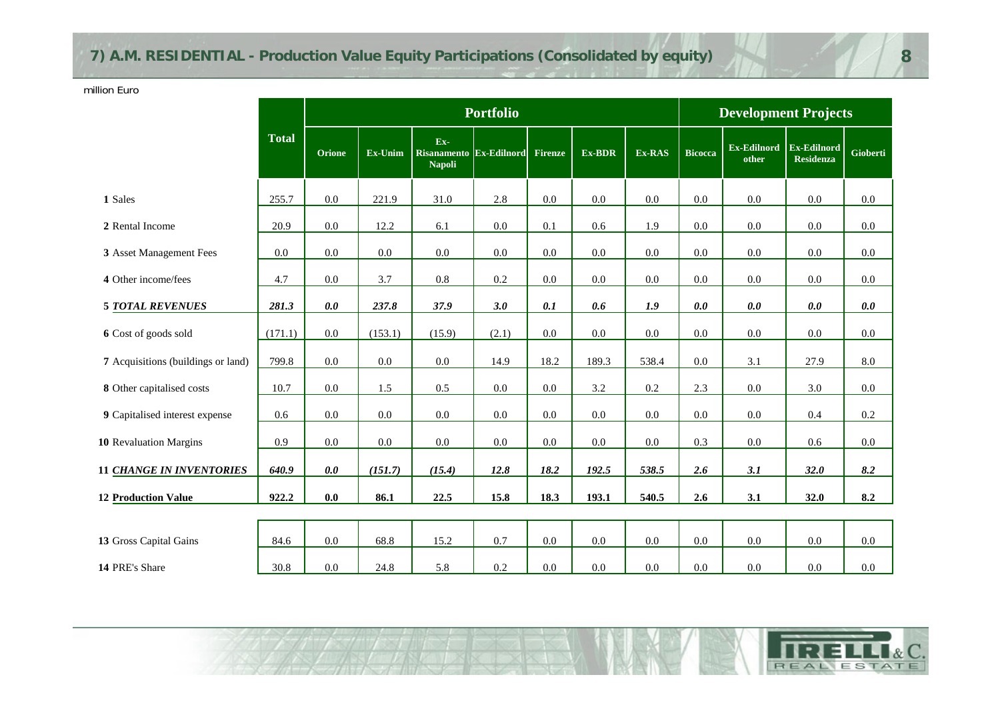# **7) A.M. RESIDENTIAL - Production Value Equity Participations (Consolidated by equity)**

million Euro

|                                    |              |               |         |                                                 | <b>Portfolio</b> |         |         |         |                | <b>Development Projects</b> |                                        |          |
|------------------------------------|--------------|---------------|---------|-------------------------------------------------|------------------|---------|---------|---------|----------------|-----------------------------|----------------------------------------|----------|
|                                    | <b>Total</b> | <b>Orione</b> | Ex-Unim | Ex-<br>Risanamento Ex-Edilnord<br><b>Napoli</b> |                  | Firenze | Ex-BDR  | Ex-RAS  | <b>Bicocca</b> | Ex-Edilnord<br>other        | <b>Ex-Edilnord</b><br><b>Residenza</b> | Gioberti |
| 1 Sales                            | 255.7        | $0.0\,$       | 221.9   | 31.0                                            | 2.8              | $0.0\,$ | 0.0     | 0.0     | $0.0\,$        | 0.0                         | 0.0                                    | 0.0      |
| 2 Rental Income                    | 20.9         | $0.0\,$       | 12.2    | 6.1                                             | 0.0              | 0.1     | 0.6     | 1.9     | $0.0\,$        | $0.0\,$                     | $0.0\,$                                | $0.0\,$  |
| 3 Asset Management Fees            | 0.0          | $0.0\,$       | $0.0\,$ | $0.0\,$                                         | $0.0\,$          | $0.0\,$ | $0.0\,$ | $0.0\,$ | $0.0\,$        | $0.0\,$                     | $0.0\,$                                | $0.0\,$  |
| 4 Other income/fees                | 4.7          | $0.0\,$       | 3.7     | $0.8\,$                                         | $0.2\,$          | $0.0\,$ | $0.0\,$ | 0.0     | 0.0            | 0.0                         | $0.0\,$                                | 0.0      |
| <b>5 TOTAL REVENUES</b>            | 281.3        | 0.0           | 237.8   | 37.9                                            | 3.0              | 0.1     | 0.6     | 1.9     | 0.0            | $0.0\,$                     | $0.0\,$                                | $0.0\,$  |
| 6 Cost of goods sold               | (171.1)      | $0.0\,$       | (153.1) | (15.9)                                          | (2.1)            | $0.0\,$ | $0.0\,$ | 0.0     | $0.0\,$        | $0.0\,$                     | $0.0\,$                                | $0.0\,$  |
| 7 Acquisitions (buildings or land) | 799.8        | $0.0\,$       | $0.0\,$ | 0.0                                             | 14.9             | 18.2    | 189.3   | 538.4   | 0.0            | 3.1                         | 27.9                                   | 8.0      |
| 8 Other capitalised costs          | 10.7         | 0.0           | 1.5     | 0.5                                             | 0.0              | $0.0\,$ | 3.2     | 0.2     | 2.3            | 0.0                         | 3.0                                    | 0.0      |
| 9 Capitalised interest expense     | 0.6          | $0.0\,$       | $0.0\,$ | $0.0\,$                                         | $0.0\,$          | $0.0\,$ | $0.0\,$ | $0.0\,$ | $0.0\,$        | $0.0\,$                     | $0.4\,$                                | $0.2\,$  |
| 10 Revaluation Margins             | 0.9          | 0.0           | 0.0     | $0.0\,$                                         | $0.0\,$          | $0.0\,$ | 0.0     | 0.0     | 0.3            | $0.0\,$                     | 0.6                                    | $0.0\,$  |
| <b>11 CHANGE IN INVENTORIES</b>    | 640.9        | 0.0           | (151.7) | (15.4)                                          | 12.8             | 18.2    | 192.5   | 538.5   | 2.6            | 3.1                         | 32.0                                   | 8.2      |
| <b>12 Production Value</b>         | 922.2        | 0.0           | 86.1    | 22.5                                            | 15.8             | 18.3    | 193.1   | 540.5   | 2.6            | 3.1                         | 32.0                                   | 8.2      |
|                                    |              |               |         |                                                 |                  |         |         |         |                |                             |                                        |          |
| 13 Gross Capital Gains             | 84.6         | $0.0\,$       | 68.8    | 15.2                                            | 0.7              | $0.0\,$ | 0.0     | $0.0\,$ | $0.0\,$        | $0.0\,$                     | $0.0\,$                                | $0.0\,$  |
| 14 PRE's Share                     | 30.8         | 0.0           | 24.8    | 5.8                                             | 0.2              | 0.0     | 0.0     | 0.0     | 0.0            | 0.0                         | 0.0                                    | 0.0      |

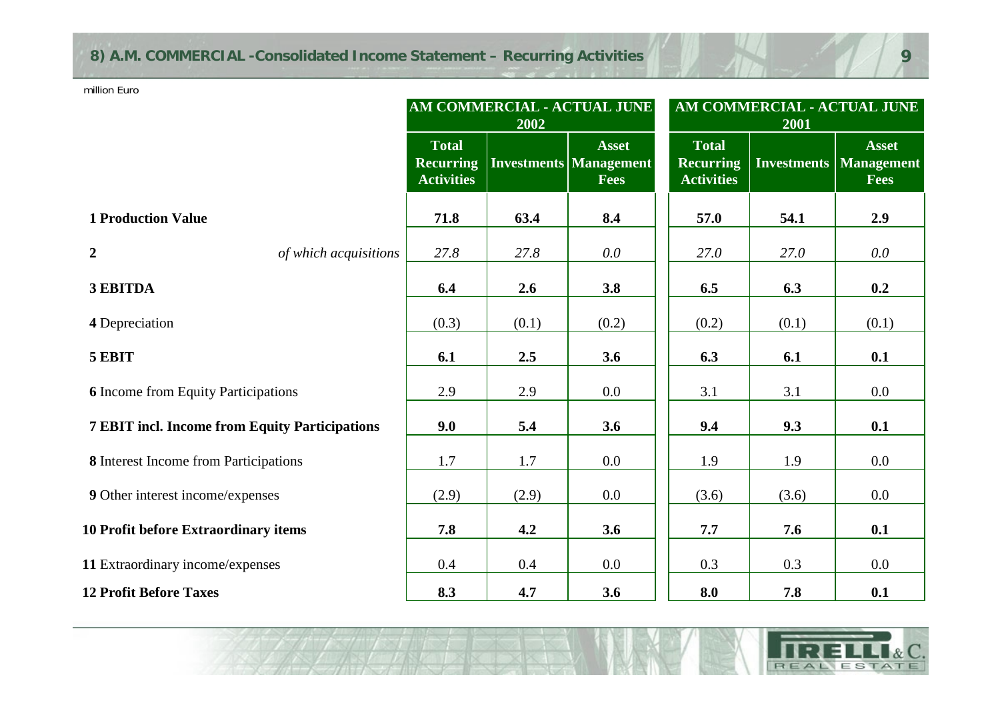# **8) A.M. COMMERCIAL -Consolidated Income Statement – Recurring Activities**

million Euro

|                                                       |                                                       | 2002  | AM COMMERCIAL - ACTUAL JUNE                           | AM COMMERCIAL - ACTUAL JUNE<br>2001                   |       |                                                         |  |
|-------------------------------------------------------|-------------------------------------------------------|-------|-------------------------------------------------------|-------------------------------------------------------|-------|---------------------------------------------------------|--|
|                                                       | <b>Total</b><br><b>Recurring</b><br><b>Activities</b> |       | <b>Asset</b><br><b>Investments Management</b><br>Fees | <b>Total</b><br><b>Recurring</b><br><b>Activities</b> |       | <b>Asset</b><br><b>Investments   Management</b><br>Fees |  |
| <b>1 Production Value</b>                             | 71.8                                                  | 63.4  | 8.4                                                   | 57.0                                                  | 54.1  | 2.9                                                     |  |
| $\overline{2}$<br>of which acquisitions               | 27.8                                                  | 27.8  | $0.0\,$                                               | 27.0                                                  | 27.0  | $0.0\,$                                                 |  |
| 3 EBITDA                                              | 6.4                                                   | 2.6   | 3.8                                                   | 6.5                                                   | 6.3   | 0.2                                                     |  |
| 4 Depreciation                                        | (0.3)                                                 | (0.1) | (0.2)                                                 | (0.2)                                                 | (0.1) | (0.1)                                                   |  |
| 5 EBIT                                                | 6.1                                                   | 2.5   | 3.6                                                   | 6.3                                                   | 6.1   | 0.1                                                     |  |
| <b>6</b> Income from Equity Participations            | 2.9                                                   | 2.9   | 0.0                                                   | 3.1                                                   | 3.1   | $0.0\,$                                                 |  |
| <b>7 EBIT incl. Income from Equity Participations</b> | 9.0                                                   | 5.4   | 3.6                                                   | 9.4                                                   | 9.3   | 0.1                                                     |  |
| 8 Interest Income from Participations                 | 1.7                                                   | 1.7   | 0.0                                                   | 1.9                                                   | 1.9   | $0.0\,$                                                 |  |
| 9 Other interest income/expenses                      | (2.9)                                                 | (2.9) | $0.0\,$                                               | (3.6)                                                 | (3.6) | $0.0\,$                                                 |  |
| 10 Profit before Extraordinary items                  | 7.8                                                   | 4.2   | 3.6                                                   | 7.7                                                   | 7.6   | 0.1                                                     |  |
| 11 Extraordinary income/expenses                      | 0.4                                                   | 0.4   | 0.0                                                   | 0.3                                                   | 0.3   | 0.0                                                     |  |
| <b>12 Profit Before Taxes</b>                         | 8.3                                                   | 4.7   | 3.6                                                   | 8.0                                                   | 7.8   | 0.1                                                     |  |

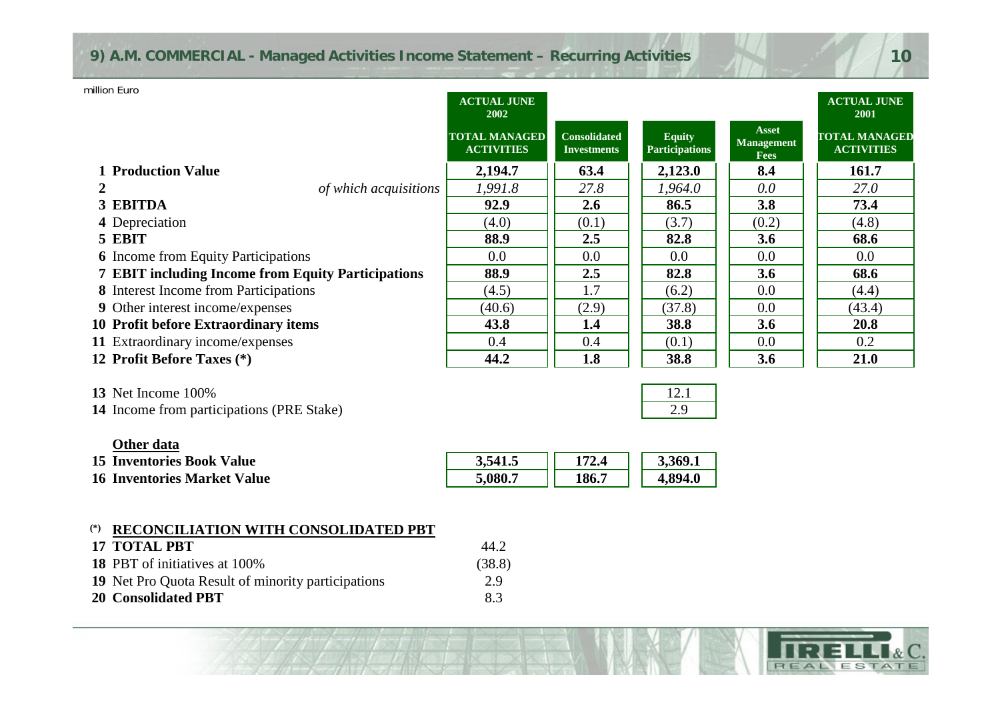### **9) A.M. COMMERCIAL - Managed Activities Income Statement – Recurring Activities**

| million Euro                                              | <b>ACTUAL JUNE</b><br>2002                |                                           |                                        |                                           | <b>ACTUAL JUNE</b><br>2001                |
|-----------------------------------------------------------|-------------------------------------------|-------------------------------------------|----------------------------------------|-------------------------------------------|-------------------------------------------|
|                                                           | <b>TOTAL MANAGED</b><br><b>ACTIVITIES</b> | <b>Consolidated</b><br><b>Investments</b> | <b>Equity</b><br><b>Participations</b> | Asset<br><b>Management</b><br><b>Fees</b> | <b>TOTAL MANAGED</b><br><b>ACTIVITIES</b> |
| <b>1 Production Value</b>                                 | 2,194.7                                   | 63.4                                      | 2,123.0                                | 8.4                                       | 161.7                                     |
| of which acquisitions<br>2                                | 1,991.8                                   | 27.8                                      | 1,964.0                                | 0.0                                       | 27.0                                      |
| 3 EBITDA                                                  | 92.9                                      | 2.6                                       | 86.5                                   | 3.8                                       | 73.4                                      |
| 4 Depreciation                                            | (4.0)                                     | (0.1)                                     | (3.7)                                  | (0.2)                                     | (4.8)                                     |
| 5 EBIT                                                    | 88.9                                      | 2.5                                       | 82.8                                   | 3.6                                       | 68.6                                      |
| <b>6</b> Income from Equity Participations                | $0.0\,$                                   | 0.0                                       | 0.0                                    | 0.0                                       | $0.0\,$                                   |
| <b>7 EBIT including Income from Equity Participations</b> | 88.9                                      | 2.5                                       | 82.8                                   | 3.6                                       | 68.6                                      |
| 8 Interest Income from Participations                     | (4.5)                                     | 1.7                                       | (6.2)                                  | 0.0                                       | (4.4)                                     |
| <b>9</b> Other interest income/expenses                   | (40.6)                                    | (2.9)                                     | (37.8)                                 | 0.0                                       | (43.4)                                    |
| 10 Profit before Extraordinary items                      | 43.8                                      | 1.4                                       | 38.8                                   | 3.6                                       | 20.8                                      |
| 11 Extraordinary income/expenses                          | 0.4                                       | 0.4                                       | (0.1)                                  | 0.0                                       | 0.2                                       |
| 12 Profit Before Taxes (*)                                | 44.2                                      | 1.8                                       | 38.8                                   | 3.6                                       | 21.0                                      |
|                                                           |                                           |                                           |                                        |                                           |                                           |

**13** Net Income 100%% and  $\sim$  12.1

**14** Income from participations (PRE Stake) 2.9

| Other data |
|------------|
|------------|

| <b>15 Inventories Book Value</b>   | 3,541   | 172.4 | 3,369.1 |
|------------------------------------|---------|-------|---------|
| <b>16 Inventories Market Value</b> | 5.080.7 | 186.7 | l.894.0 |

### **(\*) RECONCILIATION WITH CONSOLIDATED PBT**

| 17 TOTAL PBT                                       | 44.2   |
|----------------------------------------------------|--------|
| <b>18 PBT</b> of initiatives at 100%               | (38.8) |
| 19 Net Pro Quota Result of minority participations | 29     |
| 20 Consolidated PBT                                | 83     |

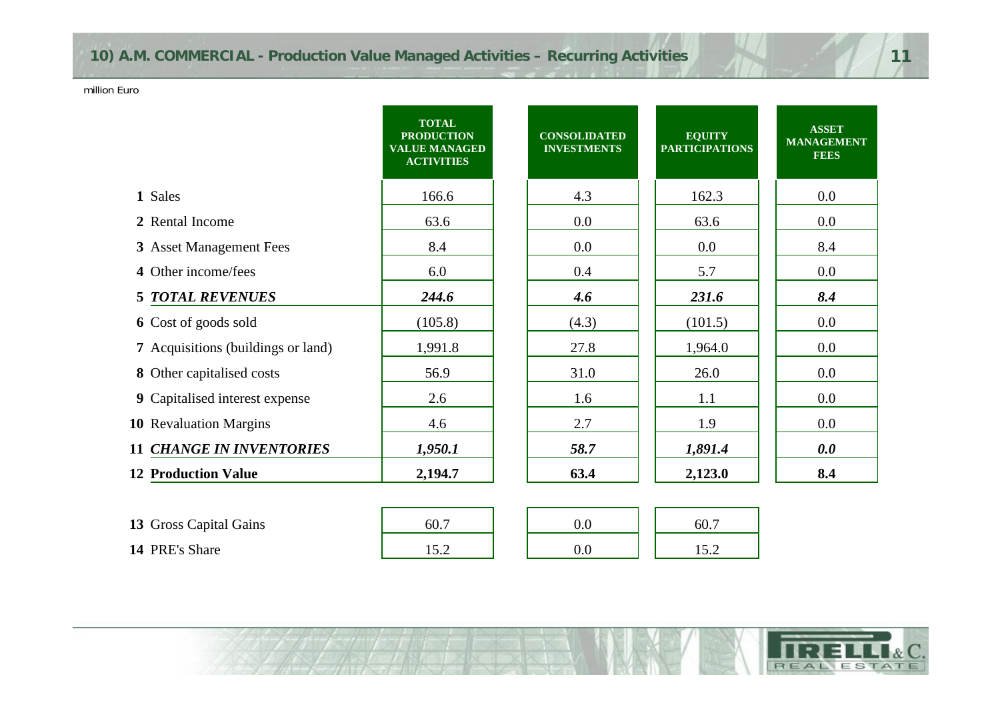# **10) A.M. COMMERCIAL - Production Value Managed Activities – Recurring Activities**

million Euro

| <b>TOTAL</b><br><b>PRODUCTION</b><br><b>VALUE MANAGED</b><br><b>ACTIVITIES</b> | <b>CONSOLIDATED</b><br><b>INVESTMENTS</b> | <b>EQUITY</b><br><b>PARTICIPATIONS</b> | <b>ASSET</b><br><b>MANAGEMENT</b><br><b>FEES</b> |
|--------------------------------------------------------------------------------|-------------------------------------------|----------------------------------------|--------------------------------------------------|
| 166.6                                                                          | 4.3                                       | 162.3                                  | 0.0                                              |
| 63.6                                                                           | 0.0                                       | 63.6                                   | 0.0                                              |
| 8.4                                                                            | 0.0                                       | 0.0                                    | 8.4                                              |
| 6.0                                                                            | 0.4                                       | 5.7                                    | 0.0                                              |
| 244.6                                                                          | 4.6                                       | 231.6                                  | 8.4                                              |
| (105.8)                                                                        | (4.3)                                     | (101.5)                                | 0.0                                              |
| 1,991.8                                                                        | 27.8                                      | 1,964.0                                | 0.0                                              |
| 56.9                                                                           | 31.0                                      | 26.0                                   | 0.0                                              |
| 2.6                                                                            | 1.6                                       | 1.1                                    | 0.0                                              |
| 4.6                                                                            | 2.7                                       | 1.9                                    | 0.0                                              |
| 1,950.1                                                                        | 58.7                                      | 1,891.4                                | 0.0                                              |
| 2,194.7                                                                        | 63.4                                      | 2,123.0                                | 8.4                                              |
|                                                                                |                                           |                                        |                                                  |
| 60.7                                                                           | 0.0                                       | 60.7                                   |                                                  |
|                                                                                |                                           |                                        |                                                  |



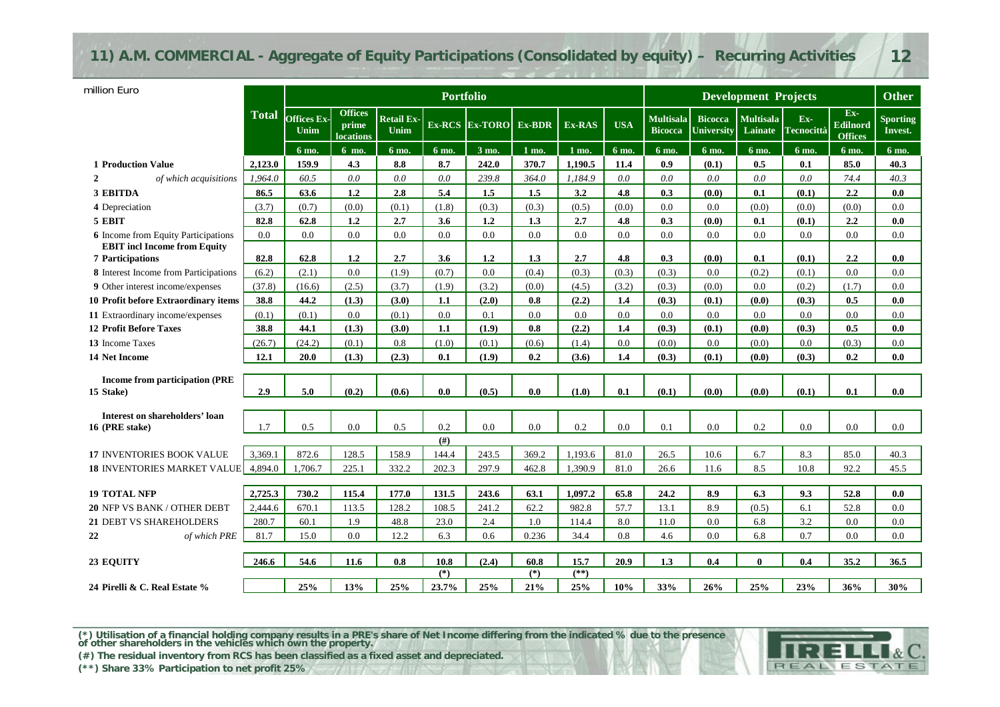### **11) A.M. COMMERCIAL - Aggregate of Equity Participations (Consolidated by equity) – Recurring Activities 12**

| million Euro                                       |              |                            |                                             |                           | <b>Portfolio</b> |                    |        |         |            | <b>Development Projects</b>        |                              |                             |                            |                                     | <b>Other</b>               |
|----------------------------------------------------|--------------|----------------------------|---------------------------------------------|---------------------------|------------------|--------------------|--------|---------|------------|------------------------------------|------------------------------|-----------------------------|----------------------------|-------------------------------------|----------------------------|
|                                                    | <b>Total</b> | <b>Offices Ex-</b><br>Unim | <b>Offices</b><br>prime<br><b>locations</b> | <b>Retail Ex-</b><br>Unim |                  | $Ex-RCS$ $Ex-TORO$ | Ex-BDR | Ex-RAS  | <b>USA</b> | <b>Multisala</b><br><b>Bicocca</b> | <b>Bicocca</b><br>University | <b>Multisala</b><br>Lainate | $Ex-$<br><b>Tecnocittà</b> | $Ex-$<br>Edilnord<br><b>Offices</b> | <b>Sporting</b><br>Invest. |
|                                                    |              | 6 mo.                      | 6 mo.                                       | 6 mo.                     | 6 mo.            | 3 mo.              | 1 mo.  | 1 mo.   | 6 mo.      | 6 mo.                              | 6 mo.                        | 6 mo.                       | 6 mo.                      | 6 mo.                               | 6 mo.                      |
| <b>1 Production Value</b>                          | 2,123.0      | 159.9                      | 4.3                                         | 8.8                       | 8.7              | 242.0              | 370.7  | 1,190.5 | 11.4       | 0.9                                | (0.1)                        | 0.5                         | 0.1                        | 85.0                                | 40.3                       |
| of which acquisitions                              | 1,964.0      | 60.5                       | 0.0                                         | 0.0                       | $0.0\,$          | 239.8              | 364.0  | 1,184.9 | 0.0        | 0.0                                | 0.0                          | 0.0                         | 0.0                        | 74.4                                | 40.3                       |
| <b>3 EBITDA</b>                                    | 86.5         | 63.6                       | 1.2                                         | 2.8                       | 5.4              | 1.5                | 1.5    | 3.2     | 4.8        | 0.3                                | (0.0)                        | 0.1                         | (0.1)                      | 2.2                                 | 0.0                        |
| 4 Depreciation                                     | (3.7)        | (0.7)                      | (0.0)                                       | (0.1)                     | (1.8)            | (0.3)              | (0.3)  | (0.5)   | (0.0)      | 0.0                                | 0.0                          | (0.0)                       | (0.0)                      | (0.0)                               | 0.0                        |
| 5 EBIT                                             | 82.8         | 62.8                       | 1.2                                         | 2.7                       | 3.6              | 1.2                | 1.3    | 2.7     | 4.8        | 0.3                                | (0.0)                        | 0.1                         | (0.1)                      | 2.2                                 | 0.0                        |
| <b>6</b> Income from Equity Participations         | 0.0          | 0.0                        | 0.0                                         | 0.0                       | 0.0              | 0.0                | 0.0    | 0.0     | 0.0        | 0.0                                | 0.0                          | 0.0                         | 0.0                        | 0.0                                 | 0.0                        |
| <b>EBIT</b> incl Income from Equity                |              |                            |                                             |                           |                  |                    |        |         |            |                                    |                              |                             |                            |                                     |                            |
| <b>7 Participations</b>                            | 82.8         | 62.8                       | 1.2                                         | 2.7                       | 3.6              | 1.2                | 1.3    | 2.7     | 4.8        | 0.3                                | (0.0)                        | 0.1                         | (0.1)                      | 2.2                                 | 0.0                        |
| 8 Interest Income from Participations              | (6.2)        | (2.1)                      | 0.0                                         | (1.9)                     | (0.7)            | 0.0                | (0.4)  | (0.3)   | (0.3)      | (0.3)                              | 0.0                          | (0.2)                       | (0.1)                      | 0.0                                 | 0.0                        |
| 9 Other interest income/expenses                   | (37.8)       | (16.6)                     | (2.5)                                       | (3.7)                     | (1.9)            | (3.2)              | (0.0)  | (4.5)   | (3.2)      | (0.3)                              | (0.0)                        | 0.0                         | (0.2)                      | (1.7)                               | 0.0                        |
| 10 Profit before Extraordinary items               | 38.8         | 44.2                       | (1.3)                                       | (3.0)                     | 1.1              | (2.0)              | 0.8    | (2.2)   | 1.4        | (0.3)                              | (0.1)                        | (0.0)                       | (0.3)                      | 0.5                                 | 0.0                        |
| 11 Extraordinary income/expenses                   | (0.1)        | (0.1)                      | 0.0                                         | (0.1)                     | 0.0              | 0.1                | 0.0    | 0.0     | 0.0        | 0.0                                | 0.0                          | 0.0                         | 0.0                        | 0.0                                 | 0.0                        |
| <b>12 Profit Before Taxes</b>                      | 38.8         | 44.1                       | (1.3)                                       | (3.0)                     | 1.1              | (1.9)              | 0.8    | (2.2)   | 1.4        | (0.3)                              | (0.1)                        | (0.0)                       | (0.3)                      | 0.5                                 | 0.0                        |
| 13 Income Taxes                                    | (26.7)       | (24.2)                     | (0.1)                                       | 0.8                       | (1.0)            | (0.1)              | (0.6)  | (1.4)   | 0.0        | (0.0)                              | 0.0                          | (0.0)                       | 0.0                        | (0.3)                               | 0.0                        |
| <b>14 Net Income</b>                               | 12.1         | 20.0                       | (1.3)                                       | (2.3)                     | 0.1              | (1.9)              | 0.2    | (3.6)   | 1.4        | (0.3)                              | (0.1)                        | (0.0)                       | (0.3)                      | 0.2                                 | 0.0                        |
| <b>Income from participation (PRE</b><br>15 Stake) | 2.9          | 5.0                        | (0.2)                                       | (0.6)                     | 0.0              | (0.5)              | 0.0    | (1.0)   | 0.1        | (0.1)                              | (0.0)                        | (0.0)                       | (0.1)                      | 0.1                                 | 0.0                        |
|                                                    |              |                            |                                             |                           |                  |                    |        |         |            |                                    |                              |                             |                            |                                     |                            |
| Interest on shareholders' loan                     |              |                            |                                             |                           |                  |                    |        |         |            |                                    |                              |                             |                            |                                     |                            |
| 16 (PRE stake)                                     | 1.7          | 0.5                        | 0.0                                         | 0.5                       | 0.2              | 0.0                | 0.0    | 0.2     | 0.0        | 0.1                                | 0.0                          | 0.2                         | 0.0                        | 0.0                                 | 0.0                        |
|                                                    |              |                            |                                             |                           | (f#)             |                    |        |         |            |                                    |                              |                             |                            |                                     |                            |
| <b>17 INVENTORIES BOOK VALUE</b>                   | 3.369.1      | 872.6                      | 128.5                                       | 158.9                     | 144.4            | 243.5              | 369.2  | 1.193.6 | 81.0       | 26.5                               | 10.6                         | 6.7                         | 8.3                        | 85.0                                | 40.3                       |
| <b>18 INVENTORIES MARKET VALUE</b>                 | 4.894.0      | 1,706.7                    | 225.1                                       | 332.2                     | 202.3            | 297.9              | 462.8  | 1,390.9 | 81.0       | 26.6                               | 11.6                         | 8.5                         | 10.8                       | 92.2                                | 45.5                       |
|                                                    |              |                            |                                             |                           |                  |                    |        |         |            |                                    |                              |                             |                            |                                     |                            |
| <b>19 TOTAL NFP</b>                                | 2,725.3      | 730.2                      | 115.4                                       | 177.0                     | 131.5            | 243.6              | 63.1   | 1,097.2 | 65.8       | 24.2                               | 8.9                          | 6.3                         | 9.3                        | 52.8                                | 0.0                        |
| 20 NFP VS BANK / OTHER DEBT                        | 2,444.6      | 670.1                      | 113.5                                       | 128.2                     | 108.5            | 241.2              | 62.2   | 982.8   | 57.7       | 13.1                               | 8.9                          | (0.5)                       | 6.1                        | 52.8                                | 0.0                        |
| 21 DEBT VS SHAREHOLDERS                            | 280.7        | 60.1                       | 1.9                                         | 48.8                      | 23.0             | 2.4                | 1.0    | 114.4   | 8.0        | 11.0                               | 0.0                          | 6.8                         | 3.2                        | 0.0                                 | 0.0                        |
| 22<br>of which PRE                                 | 81.7         | 15.0                       | 0.0                                         | 12.2                      | 6.3              | 0.6                | 0.236  | 34.4    | 0.8        | 4.6                                | 0.0                          | 6.8                         | 0.7                        | 0.0                                 | 0.0                        |
|                                                    | 246.6        | 54.6                       | 11.6                                        | 0.8                       | 10.8             | (2.4)              | 60.8   | 15.7    | 20.9       | 1.3                                | 0.4                          | $\mathbf{0}$                | 0.4                        | 35.2                                | 36.5                       |
| <b>23 EQUITY</b>                                   |              |                            |                                             |                           | $(*)$            |                    | $(*)$  | $(*)$   |            |                                    |                              |                             |                            |                                     |                            |
| 24 Pirelli & C. Real Estate %                      |              | 25%                        | 13%                                         | 25%                       | 23.7%            | 25%                | 21%    | 25%     | 10%        | 33%                                | 26%                          | 25%                         | 23%                        | 36%                                 | 30%                        |

**24 Pirelli & C. Real Estate %**

(\*) Utilisation of a financial holding company results in a PRE's share of Net Income differing from the indicated % due to the presence of other shareholders in the vehicles which own the property.

**(#) The residual inventory from RCS has been classified as a fixed asset and depreciated.**

**(\*\*) Share 33% Participation to net profit 25%**

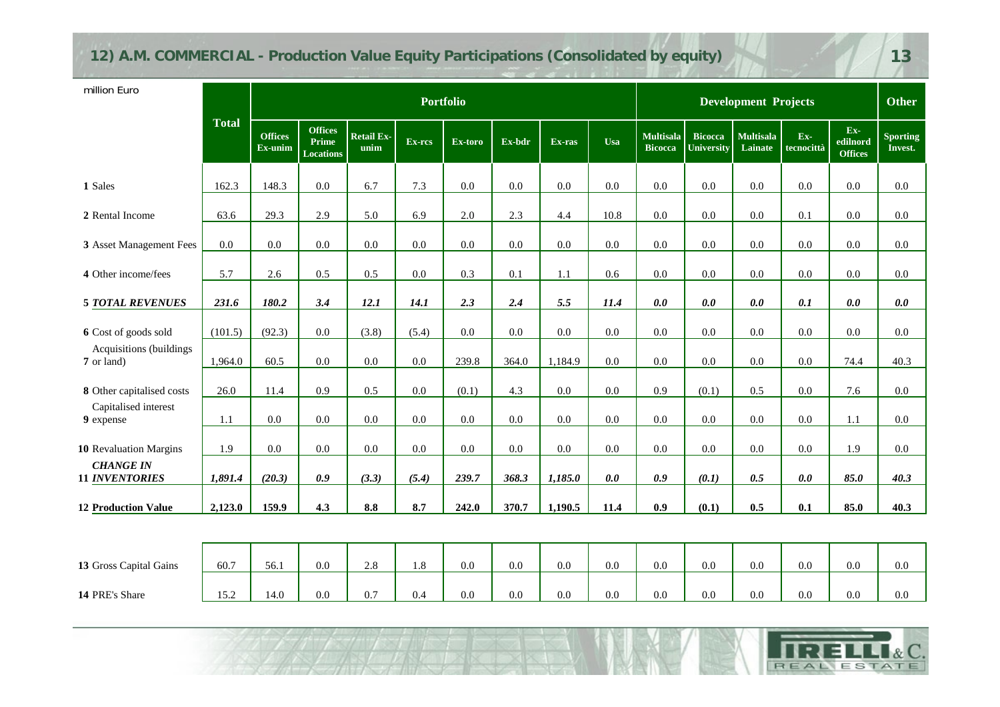# **12) A.M. COMMERCIAL - Production Value Equity Participations (Consolidated by equity) 13**

**The Second Street** 

| million Euro                              |              |                           |                                             |                           |         | <b>Portfolio</b> |        |         |            | <b>Development Projects</b>        |                                     |                             |                   |                                     | <b>Other</b>               |
|-------------------------------------------|--------------|---------------------------|---------------------------------------------|---------------------------|---------|------------------|--------|---------|------------|------------------------------------|-------------------------------------|-----------------------------|-------------------|-------------------------------------|----------------------------|
|                                           | <b>Total</b> | <b>Offices</b><br>Ex-unim | <b>Offices</b><br>Prime<br><b>Locations</b> | <b>Retail Ex-</b><br>unim | Ex-rcs  | Ex-toro          | Ex-bdr | Ex-ras  | <b>Usa</b> | <b>Multisala</b><br><b>Bicocca</b> | <b>Bicocca</b><br><b>University</b> | <b>Multisala</b><br>Lainate | Ex-<br>tecnocittà | $Ex-$<br>edilnord<br><b>Offices</b> | <b>Sporting</b><br>Invest. |
| 1 Sales                                   | 162.3        | 148.3                     | 0.0                                         | 6.7                       | 7.3     | 0.0              | 0.0    | $0.0\,$ | 0.0        | 0.0                                | 0.0                                 | 0.0                         | 0.0               | 0.0                                 | $0.0\,$                    |
| 2 Rental Income                           | 63.6         | 29.3                      | 2.9                                         | 5.0                       | 6.9     | $2.0\,$          | 2.3    | 4.4     | 10.8       | 0.0                                | 0.0                                 | $0.0\,$                     | 0.1               | $0.0\,$                             | 0.0                        |
| 3 Asset Management Fees                   | 0.0          | 0.0                       | 0.0                                         | 0.0                       | 0.0     | 0.0              | 0.0    | $0.0\,$ | 0.0        | 0.0                                | 0.0                                 | 0.0                         | 0.0               | 0.0                                 | 0.0                        |
| 4 Other income/fees                       | 5.7          | 2.6                       | 0.5                                         | 0.5                       | 0.0     | 0.3              | 0.1    | 1.1     | 0.6        | 0.0                                | 0.0                                 | 0.0                         | 0.0               | 0.0                                 | $0.0\,$                    |
| <b>5 TOTAL REVENUES</b>                   | 231.6        | 180.2                     | 3.4                                         | 12.1                      | 14.1    | 2.3              | 2.4    | 5.5     | $11.4$     | 0.0                                | 0.0                                 | $0.0$                       | 0.1               | 0.0                                 | 0.0                        |
| 6 Cost of goods sold                      | (101.5)      | (92.3)                    | 0.0                                         | (3.8)                     | (5.4)   | $0.0\,$          | 0.0    | $0.0\,$ | 0.0        | 0.0                                | 0.0                                 | $0.0\,$                     | $0.0\,$           | 0.0                                 | 0.0                        |
| Acquisitions (buildings<br>7 or land)     | 1,964.0      | 60.5                      | 0.0                                         | $0.0\,$                   | $0.0\,$ | 239.8            | 364.0  | 1,184.9 | 0.0        | $0.0\,$                            | 0.0                                 | $0.0\,$                     | $0.0\,$           | 74.4                                | 40.3                       |
| 8 Other capitalised costs                 | 26.0         | 11.4                      | 0.9                                         | 0.5                       | 0.0     | (0.1)            | 4.3    | $0.0\,$ | 0.0        | 0.9                                | (0.1)                               | 0.5                         | 0.0               | 7.6                                 | 0.0                        |
| Capitalised interest<br>9 expense         | 1.1          | 0.0                       | 0.0                                         | 0.0                       | 0.0     | $0.0\,$          | 0.0    | $0.0\,$ | 0.0        | 0.0                                | 0.0                                 | 0.0                         | 0.0               | 1.1                                 | $0.0\,$                    |
| 10 Revaluation Margins                    | 1.9          | $0.0\,$                   | 0.0                                         | 0.0                       | $0.0\,$ | $0.0\,$          | 0.0    | 0.0     | 0.0        | 0.0                                | 0.0                                 | $0.0\,$                     | $0.0\,$           | 1.9                                 | 0.0                        |
| <b>CHANGE IN</b><br><b>11 INVENTORIES</b> | 1,891.4      | (20.3)                    | 0.9                                         | (3.3)                     | (5.4)   | 239.7            | 368.3  | 1,185.0 | 0.0        | 0.9                                | (0.1)                               | 0.5                         | 0.0               | 85.0                                | 40.3                       |
| <b>12 Production Value</b>                | 2,123.0      | 159.9                     | 4.3                                         | 8.8                       | 8.7     | 242.0            | 370.7  | 1,190.5 | 11.4       | 0.9                                | (0.1)                               | 0.5                         | 0.1               | 85.0                                | 40.3                       |
|                                           |              |                           |                                             |                           |         |                  |        |         |            |                                    |                                     |                             |                   |                                     |                            |
| 13 Gross Capital Gains                    | 60.7         | 56.1                      | 0.0                                         | 2.8                       | 1.8     | $0.0\,$          | 0.0    | $0.0\,$ | 0.0        | 0.0                                | 0.0                                 | $0.0\,$                     | 0.0               | $0.0\,$                             | $0.0\,$                    |
| 14 PRE's Share                            | 15.2         | 14.0                      | $0.0\,$                                     | 0.7                       | 0.4     | 0.0              | 0.0    | 0.0     | 0.0        | 0.0                                | 0.0                                 | 0.0                         | $0.0\,$           | 0.0                                 | $0.0\,$                    |

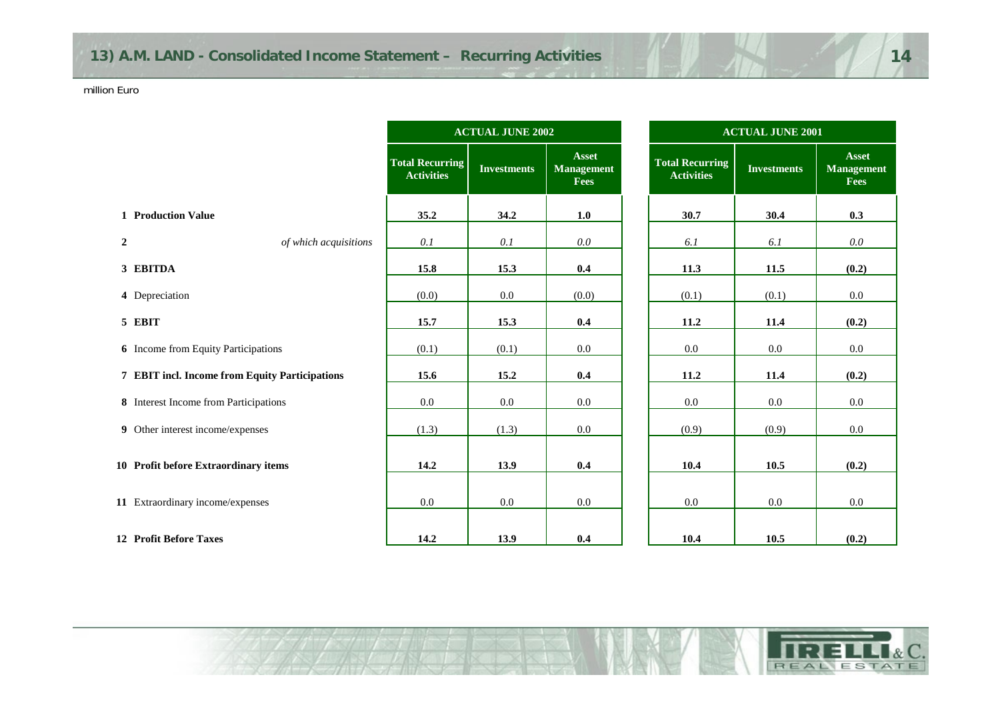|                |                                                |                                             | <b>ACTUAL JUNE 2002</b> |                                           | <b>ACTUAL JUNE 2001</b>                     |                    |                         |  |  |  |  |
|----------------|------------------------------------------------|---------------------------------------------|-------------------------|-------------------------------------------|---------------------------------------------|--------------------|-------------------------|--|--|--|--|
|                |                                                | <b>Total Recurring</b><br><b>Activities</b> | <b>Investments</b>      | Asset<br><b>Management</b><br><b>Fees</b> | <b>Total Recurring</b><br><b>Activities</b> | <b>Investments</b> | Asse<br>Manager<br>Fees |  |  |  |  |
|                | <b>1 Production Value</b>                      | 35.2                                        | 34.2                    | 1.0                                       | 30.7                                        | 30.4               | 0.3                     |  |  |  |  |
| $\overline{2}$ | of which acquisitions                          | 0.1                                         | 0.1                     | 0.0                                       | 6.1                                         | 6.1                | 0.0                     |  |  |  |  |
|                | 3 EBITDA                                       | 15.8                                        | 15.3                    | 0.4                                       | 11.3                                        | 11.5               | (0.2)                   |  |  |  |  |
|                | 4 Depreciation                                 | (0.0)                                       | $0.0\,$                 | (0.0)                                     | (0.1)                                       | (0.1)              | 0.0                     |  |  |  |  |
|                | 5 EBIT                                         | 15.7                                        | 15.3                    | 0.4                                       | 11.2                                        | 11.4               | (0.2)                   |  |  |  |  |
|                | <b>6</b> Income from Equity Participations     | (0.1)                                       | (0.1)                   | 0.0                                       | 0.0                                         | $0.0\,$            | 0.0                     |  |  |  |  |
|                | 7 EBIT incl. Income from Equity Participations | 15.6                                        | 15.2                    | 0.4                                       | 11.2                                        | 11.4               | (0.2)                   |  |  |  |  |
|                | 8 Interest Income from Participations          | $0.0\,$                                     | 0.0                     | $0.0\,$                                   | 0.0                                         | $0.0\,$            | $0.0\,$                 |  |  |  |  |
|                | 9 Other interest income/expenses               | (1.3)                                       | (1.3)                   | $0.0\,$                                   | (0.9)                                       | (0.9)              | $0.0\,$                 |  |  |  |  |
|                | 10 Profit before Extraordinary items           | 14.2                                        | 13.9                    | 0.4                                       | 10.4                                        | 10.5               | (0.2)                   |  |  |  |  |
|                | 11 Extraordinary income/expenses               | $0.0\,$                                     | 0.0                     | 0.0                                       | $0.0\,$                                     | $0.0\,$            | $0.0\,$                 |  |  |  |  |
|                | 12 Profit Before Taxes                         | 14.2                                        | 13.9                    | 0.4                                       | 10.4                                        | 10.5               | (0.2)                   |  |  |  |  |



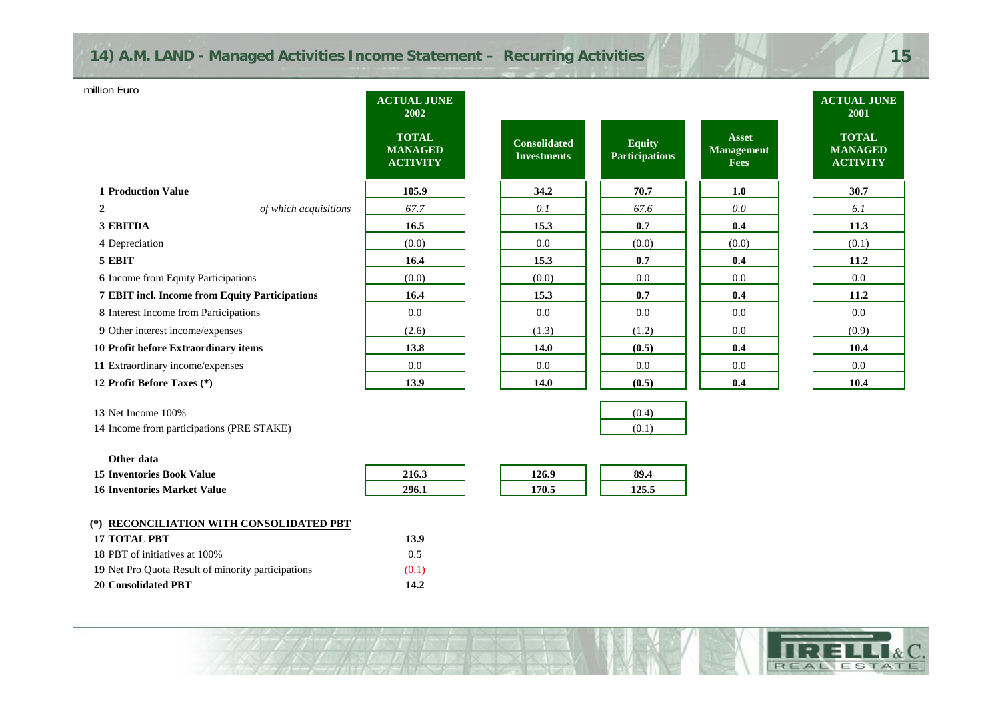| iillion Euro                                   |                       | <b>ACTUAL JUNE</b><br>2002                        |                                           |                                        |                                                  | <b>ACTUAL JUNE</b><br>2001                        |
|------------------------------------------------|-----------------------|---------------------------------------------------|-------------------------------------------|----------------------------------------|--------------------------------------------------|---------------------------------------------------|
|                                                |                       | <b>TOTAL</b><br><b>MANAGED</b><br><b>ACTIVITY</b> | <b>Consolidated</b><br><b>Investments</b> | <b>Equity</b><br><b>Participations</b> | <b>Asset</b><br><b>Management</b><br><b>Fees</b> | <b>TOTAL</b><br><b>MANAGED</b><br><b>ACTIVITY</b> |
| <b>1 Production Value</b>                      |                       | 105.9                                             | 34.2                                      | 70.7                                   | 1.0                                              | 30.7                                              |
| $\overline{2}$                                 | of which acquisitions | 67.7                                              | 0.1                                       | 67.6                                   | 0.0                                              | 6.1                                               |
| 3 EBITDA                                       |                       | 16.5                                              | 15.3                                      | 0.7                                    | 0.4                                              | 11.3                                              |
| 4 Depreciation                                 |                       | (0.0)                                             | 0.0                                       | (0.0)                                  | (0.0)                                            | (0.1)                                             |
| 5 EBIT                                         |                       | 16.4                                              | 15.3                                      | 0.7                                    | 0.4                                              | 11.2                                              |
| <b>6</b> Income from Equity Participations     |                       | (0.0)                                             | (0.0)                                     | 0.0                                    | 0.0                                              | 0.0                                               |
| 7 EBIT incl. Income from Equity Participations |                       | 16.4                                              | 15.3                                      | 0.7                                    | 0.4                                              | 11.2                                              |
| 8 Interest Income from Participations          |                       | 0.0                                               | $0.0\,$                                   | $0.0\,$                                | 0.0                                              | 0.0                                               |
| 9 Other interest income/expenses               |                       | (2.6)                                             | (1.3)                                     | (1.2)                                  | 0.0                                              | (0.9)                                             |
| 10 Profit before Extraordinary items           |                       | 13.8                                              | 14.0                                      | (0.5)                                  | 0.4                                              | 10.4                                              |
| 11 Extraordinary income/expenses               |                       | 0.0                                               | 0.0                                       | 0.0                                    | 0.0                                              | 0.0                                               |
| 12 Profit Before Taxes (*)                     |                       | 13.9                                              | 14.0                                      | (0.5)                                  | 0.4                                              | 10.4                                              |

| 13 Net Income 100%                               | (0.4) |
|--------------------------------------------------|-------|
| <b>14</b> Income from participations (PRE STAKE) |       |

million Euro

| Other data                                                                                                                                                                                                                                                                                                                                                                   |               |       |       |
|------------------------------------------------------------------------------------------------------------------------------------------------------------------------------------------------------------------------------------------------------------------------------------------------------------------------------------------------------------------------------|---------------|-------|-------|
| <b>15 Inventories Book Value</b>                                                                                                                                                                                                                                                                                                                                             | 216.3         | 126.9 | 89.4  |
| 16 Inventories Market Value                                                                                                                                                                                                                                                                                                                                                  | 296.1         | 170.5 | 125.5 |
|                                                                                                                                                                                                                                                                                                                                                                              |               |       |       |
| (*) RECONCILIATION WITH CONSOLIDATED PBT                                                                                                                                                                                                                                                                                                                                     |               |       |       |
| <b>17 TOTAL PBT</b>                                                                                                                                                                                                                                                                                                                                                          | 13.9          |       |       |
| $\overline{AB}$ ppm $\overline{C}$ $\overline{C}$ $\overline{C}$ $\overline{C}$ $\overline{C}$ $\overline{C}$ $\overline{C}$ $\overline{C}$ $\overline{C}$ $\overline{C}$ $\overline{C}$ $\overline{C}$ $\overline{C}$ $\overline{C}$ $\overline{C}$ $\overline{C}$ $\overline{C}$ $\overline{C}$ $\overline{C}$ $\overline{C}$ $\overline{C}$ $\overline{C}$ $\overline{C}$ | $\sim$ $\sim$ |       |       |

**ANTI ANTIQUE SERVICE SERVICE SERVICE** 

| <b>20 Consolidated PBT</b>                         | 14.2          |
|----------------------------------------------------|---------------|
| 19 Net Pro Quota Result of minority participations | (0.1)         |
| <b>18 PBT</b> of initiatives at 100%               | $0.5^{\circ}$ |
| Т/ ТОТАЬ РВТ                                       | 1.5.9         |





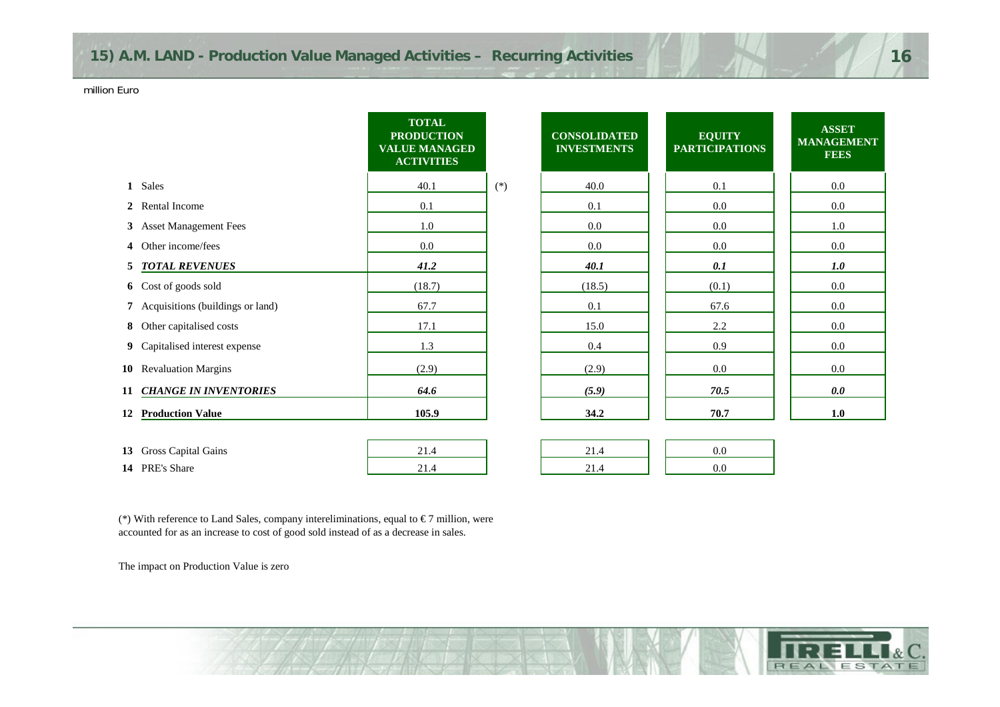|    |                                    | <b>TOTAL</b><br><b>PRODUCTION</b><br><b>VALUE MANAGED</b><br><b>ACTIVITIES</b> |       | <b>CONSOLIDATED</b><br><b>INVESTMENTS</b> | <b>EQUITY</b><br><b>PARTICIPATIONS</b> | <b>ASSET</b><br><b>MANAGEMENT</b><br><b>FEES</b> |
|----|------------------------------------|--------------------------------------------------------------------------------|-------|-------------------------------------------|----------------------------------------|--------------------------------------------------|
|    | 1 Sales                            | 40.1                                                                           | $(*)$ | 40.0                                      | 0.1                                    | $0.0\,$                                          |
|    | 2 Rental Income                    | 0.1                                                                            |       | 0.1                                       | $0.0\,$                                | 0.0                                              |
|    | 3 Asset Management Fees            | 1.0                                                                            |       | 0.0                                       | $0.0\,$                                | 1.0                                              |
| 4  | Other income/fees                  | $0.0\,$                                                                        |       | 0.0                                       | $0.0\,$                                | 0.0                                              |
|    | 5 TOTAL REVENUES                   | 41.2                                                                           |       | 40.1                                      | 0.1                                    | 1.0                                              |
|    | 6 Cost of goods sold               | (18.7)                                                                         |       | (18.5)                                    | (0.1)                                  | $0.0\,$                                          |
|    | 7 Acquisitions (buildings or land) | 67.7                                                                           |       | 0.1                                       | 67.6                                   | $0.0\,$                                          |
|    | 8 Other capitalised costs          | 17.1                                                                           |       | 15.0                                      | 2.2                                    | $0.0\,$                                          |
|    | 9 Capitalised interest expense     | 1.3                                                                            |       | $0.4\,$                                   | 0.9                                    | $0.0\,$                                          |
|    | 10 Revaluation Margins             | (2.9)                                                                          |       | (2.9)                                     | $0.0\,$                                | $0.0\,$                                          |
|    | 11 CHANGE IN INVENTORIES           | 64.6                                                                           |       | (5.9)                                     | 70.5                                   | 0.0                                              |
| 12 | <b>Production Value</b>            | 105.9                                                                          |       | 34.2                                      | 70.7                                   | $1.0$                                            |
|    |                                    |                                                                                |       |                                           |                                        |                                                  |
|    | 13 Gross Capital Gains             | 21.4                                                                           |       | 21.4                                      | $0.0\,$                                |                                                  |
|    | 14 PRE's Share                     | 21.4                                                                           |       | 21.4                                      | $0.0\,$                                |                                                  |

| $\boldsymbol{\Lambda}$<br>21 |  |
|------------------------------|--|
| 21 <sub>4</sub>              |  |

| 13 Gross Capital Gains  |  |  |  |
|-------------------------|--|--|--|
| 14 PRE's<br>Share Share |  |  |  |

(\*) With reference to Land Sales, company intereliminations, equal to  $\epsilon$ 7 million, were accounted for as an increase to cost of good sold instead of as a decrease in sales.

The impact on Production Value is zero

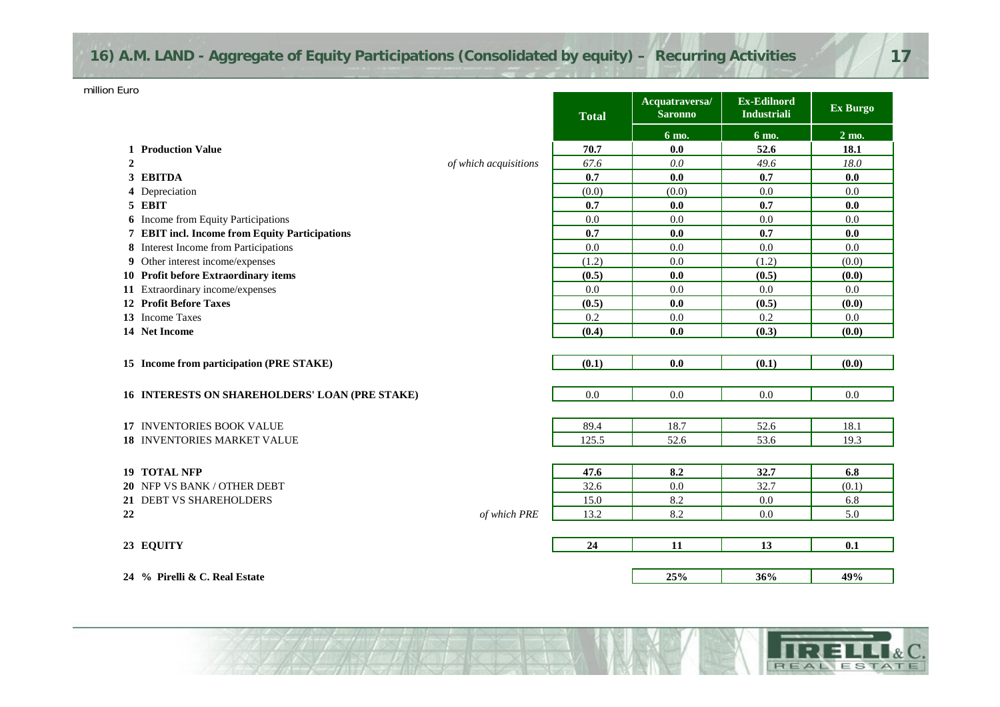| 16) A.M. LAND - Aggregate of Equity Participations (Consolidated by equity) - Recurring Activities |  |
|----------------------------------------------------------------------------------------------------|--|
|                                                                                                    |  |

|                  |                                                |                       | <b>Total</b> | Acquatraversa/<br><b>Saronno</b> | <b>Ex-Edilnord</b><br><b>Industriali</b> | Ex Burgo        |
|------------------|------------------------------------------------|-----------------------|--------------|----------------------------------|------------------------------------------|-----------------|
|                  |                                                |                       |              | 6 mo.                            | 6 mo.                                    | $2 \text{ mo.}$ |
|                  | 1 Production Value                             |                       | 70.7         | 0.0                              | 52.6                                     | 18.1            |
| $\boldsymbol{2}$ |                                                | of which acquisitions | 67.6         | 0.0                              | 49.6                                     | 18.0            |
|                  | 3 EBITDA                                       |                       | 0.7          | 0.0                              | 0.7                                      | 0.0             |
|                  | 4 Depreciation                                 |                       | (0.0)        | (0.0)                            | 0.0                                      | 0.0             |
|                  | 5 EBIT                                         |                       | 0.7          | 0.0                              | 0.7                                      | 0.0             |
|                  | <b>6</b> Income from Equity Participations     |                       | 0.0          | 0.0                              | 0.0                                      | 0.0             |
|                  | 7 EBIT incl. Income from Equity Participations |                       | 0.7          | 0.0                              | 0.7                                      | 0.0             |
|                  | 8 Interest Income from Participations          |                       | 0.0          | 0.0                              | 0.0                                      | 0.0             |
|                  | 9 Other interest income/expenses               |                       | (1.2)        | 0.0                              | (1.2)                                    | (0.0)           |
|                  | 10 Profit before Extraordinary items           |                       | (0.5)        | 0.0                              | (0.5)                                    | (0.0)           |
|                  | 11 Extraordinary income/expenses               |                       | 0.0          | 0.0                              | 0.0                                      | 0.0             |
|                  | <b>12 Profit Before Taxes</b>                  |                       | (0.5)        | 0.0                              | (0.5)                                    | (0.0)           |
|                  | 13 Income Taxes                                |                       | 0.2          | 0.0                              | 0.2                                      | 0.0             |
|                  | 14 Net Income                                  |                       | (0.4)        | 0.0                              | (0.3)                                    | (0.0)           |
|                  |                                                |                       |              |                                  |                                          |                 |
|                  | 15 Income from participation (PRE STAKE)       |                       | (0.1)        | 0.0                              | (0.1)                                    | (0.0)           |
|                  |                                                |                       |              |                                  |                                          |                 |
|                  | 16 INTERESTS ON SHAREHOLDERS' LOAN (PRE STAKE) |                       | 0.0          | 0.0                              | 0.0                                      | 0.0             |
|                  |                                                |                       |              |                                  |                                          |                 |
|                  | <b>17 INVENTORIES BOOK VALUE</b>               |                       | 89.4         | 18.7                             | 52.6                                     | 18.1            |
|                  | <b>18 INVENTORIES MARKET VALUE</b>             |                       | 125.5        | 52.6                             | 53.6                                     | 19.3            |
|                  |                                                |                       |              |                                  |                                          |                 |
| 19               | <b>TOTAL NFP</b>                               |                       | 47.6         | 8.2                              | 32.7                                     | 6.8             |
|                  | 20 NFP VS BANK / OTHER DEBT                    |                       | 32.6         | 0.0                              | 32.7                                     | (0.1)           |
|                  | 21 DEBT VS SHAREHOLDERS                        |                       | 15.0         | 8.2                              | 0.0                                      | 6.8             |
| 22               |                                                | of which PRE          | 13.2         | 8.2                              | 0.0                                      | 5.0             |
|                  |                                                |                       |              |                                  |                                          |                 |
|                  | 23 EQUITY                                      |                       | 24           | 11                               | 13                                       | 0.1             |
|                  |                                                |                       |              |                                  |                                          |                 |
|                  | 24 % Pirelli & C. Real Estate                  |                       |              | 25%                              | 36%                                      | 49%             |

**BECAUSE** 

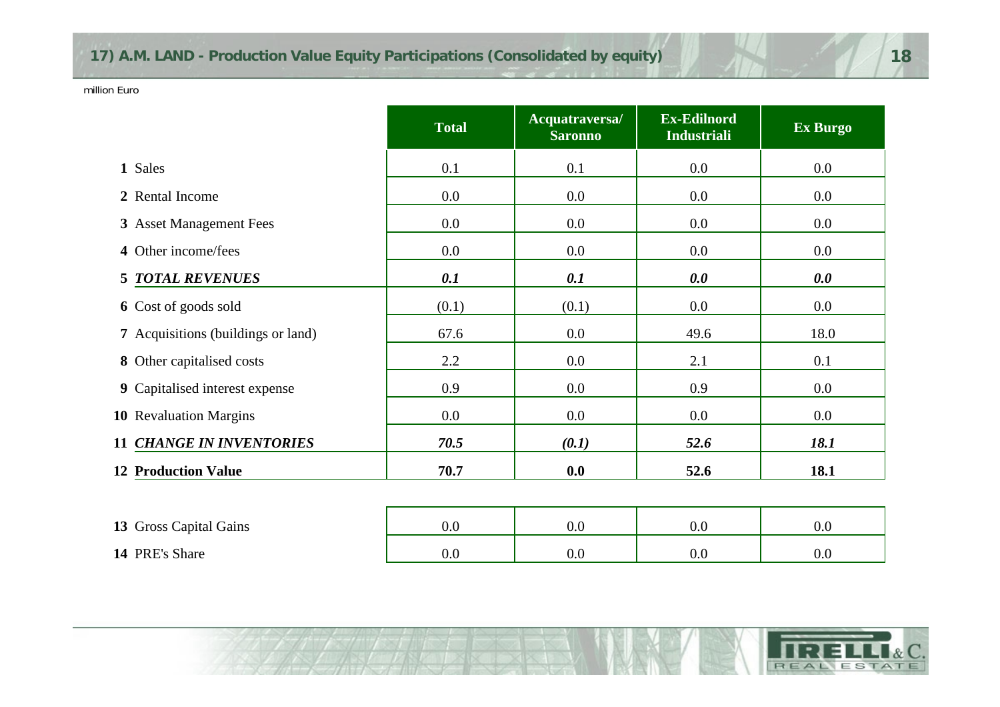|                                           | <b>Total</b> | Acquatraversa/<br><b>Saronno</b> | <b>Ex-Edilnord</b><br><b>Industriali</b> | Ex Burgo |
|-------------------------------------------|--------------|----------------------------------|------------------------------------------|----------|
| 1 Sales                                   | 0.1          | 0.1                              | 0.0                                      | $0.0\,$  |
| 2 Rental Income                           | 0.0          | 0.0                              | 0.0                                      | $0.0\,$  |
| 3 Asset Management Fees                   | 0.0          | 0.0                              | 0.0                                      | $0.0\,$  |
| 4 Other income/fees                       | 0.0          | $0.0\,$                          | 0.0                                      | $0.0\,$  |
| <b>5 TOTAL REVENUES</b>                   | 0.1          | 0.1                              | 0.0                                      | 0.0      |
| 6 Cost of goods sold                      | (0.1)        | (0.1)                            | 0.0                                      | $0.0\,$  |
| <b>7</b> Acquisitions (buildings or land) | 67.6         | 0.0                              | 49.6                                     | 18.0     |
| 8 Other capitalised costs                 | 2.2          | 0.0                              | 2.1                                      | 0.1      |
| 9 Capitalised interest expense            | 0.9          | $0.0\,$                          | 0.9                                      | $0.0\,$  |
| 10 Revaluation Margins                    | 0.0          | 0.0                              | 0.0                                      | $0.0\,$  |
| <b>11 CHANGE IN INVENTORIES</b>           | 70.5         | (0.1)                            | 52.6                                     | 18.1     |
| <b>12 Production Value</b>                | 70.7         | 0.0                              | 52.6                                     | 18.1     |
|                                           |              |                                  |                                          |          |
| 13 Gross Capital Gains                    | 0.0          | 0.0                              | 0.0                                      | $0.0\,$  |
|                                           |              |                                  |                                          |          |



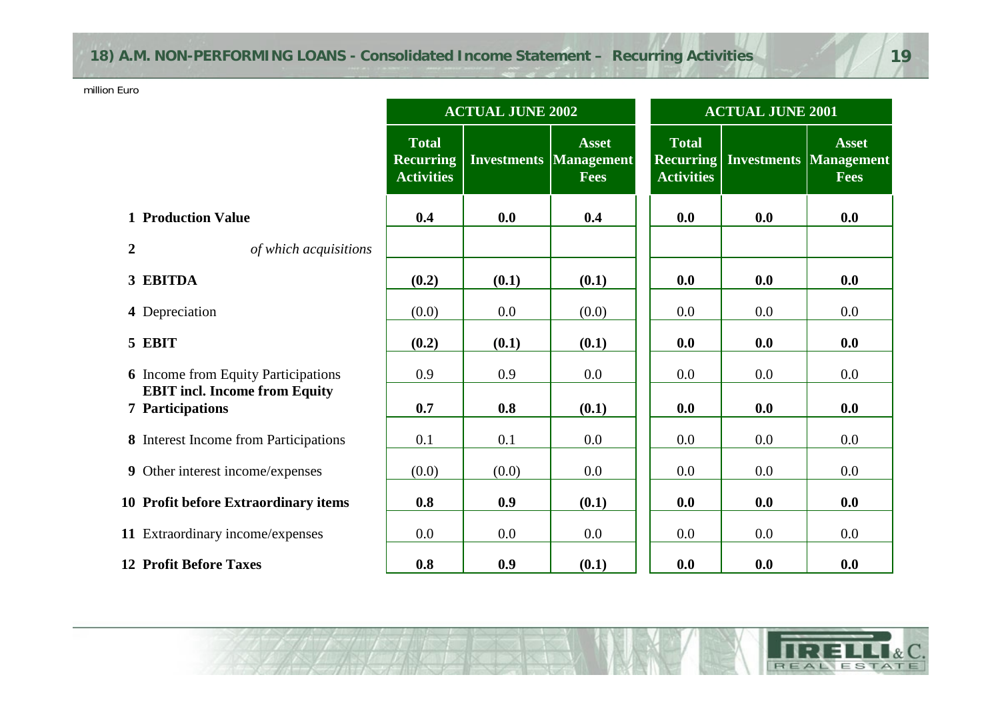# **18) A.M. NON-PERFORMING LOANS - Consolidated Income Statement – Recurring Activities 19**

 $\gamma$  is the state of  $\sim$ 

million Euro

|                                                                 | <b>ACTUAL JUNE 2002</b>                               |       |                                                                | <b>ACTUAL JUNE 2001</b>                               |     |                                                              |  |
|-----------------------------------------------------------------|-------------------------------------------------------|-------|----------------------------------------------------------------|-------------------------------------------------------|-----|--------------------------------------------------------------|--|
|                                                                 | <b>Total</b><br><b>Recurring</b><br><b>Activities</b> |       | <b>Asset</b><br><b>Investments   Management</b><br><b>Fees</b> | <b>Total</b><br><b>Recurring</b><br><b>Activities</b> |     | <b>Asset</b><br><b>Investments Management</b><br><b>Fees</b> |  |
| <b>1 Production Value</b>                                       | 0.4                                                   | 0.0   | 0.4                                                            | 0.0                                                   | 0.0 | 0.0                                                          |  |
| $\overline{2}$<br>of which acquisitions                         |                                                       |       |                                                                |                                                       |     |                                                              |  |
| 3 EBITDA                                                        | (0.2)                                                 | (0.1) | (0.1)                                                          | 0.0                                                   | 0.0 | 0.0                                                          |  |
| 4 Depreciation                                                  | (0.0)                                                 | 0.0   | (0.0)                                                          | 0.0                                                   | 0.0 | 0.0                                                          |  |
| 5 EBIT                                                          | (0.2)                                                 | (0.1) | (0.1)                                                          | 0.0                                                   | 0.0 | 0.0                                                          |  |
| <b>6</b> Income from Equity Participations                      | 0.9                                                   | 0.9   | 0.0                                                            | 0.0                                                   | 0.0 | 0.0                                                          |  |
| <b>EBIT</b> incl. Income from Equity<br><b>7</b> Participations | 0.7                                                   | 0.8   | (0.1)                                                          | 0.0                                                   | 0.0 | 0.0                                                          |  |
| 8 Interest Income from Participations                           | 0.1                                                   | 0.1   | 0.0                                                            | 0.0                                                   | 0.0 | 0.0                                                          |  |
| 9 Other interest income/expenses                                | (0.0)                                                 | (0.0) | 0.0                                                            | 0.0                                                   | 0.0 | 0.0                                                          |  |
| 10 Profit before Extraordinary items                            | 0.8                                                   | 0.9   | (0.1)                                                          | 0.0                                                   | 0.0 | 0.0                                                          |  |
| 11 Extraordinary income/expenses                                | 0.0                                                   | 0.0   | 0.0                                                            | 0.0                                                   | 0.0 | 0.0                                                          |  |
| <b>12 Profit Before Taxes</b>                                   | 0.8                                                   | 0.9   | (0.1)                                                          | 0.0                                                   | 0.0 | 0.0                                                          |  |

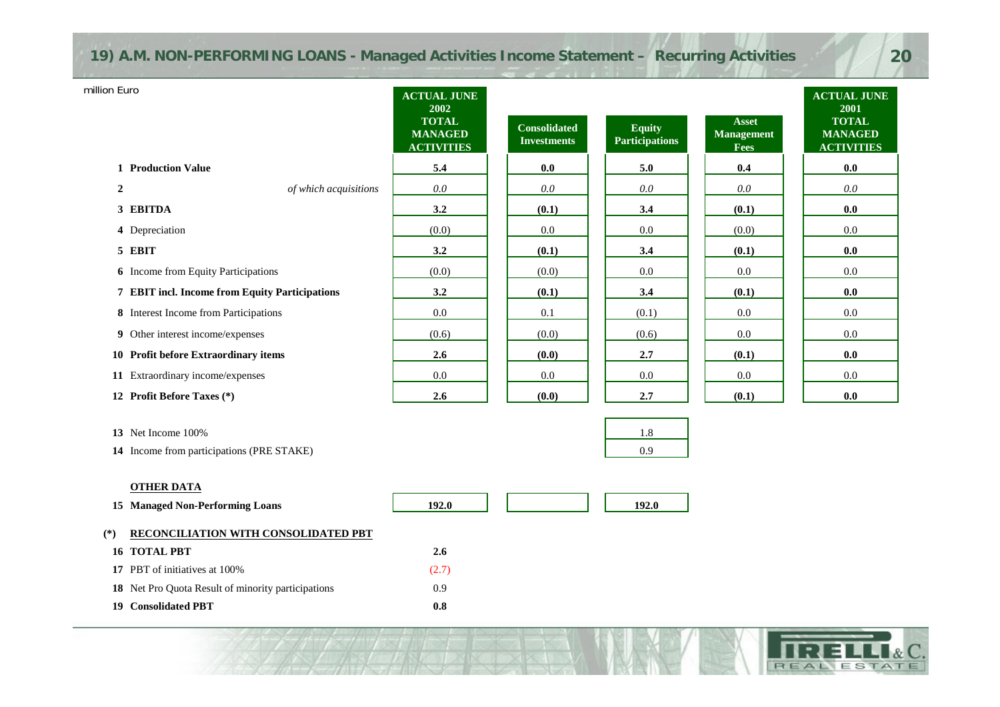# **19) A.M. NON-PERFORMING LOANS - Managed Activities Income Statement – Recurring Activities 20**

| million Euro                                   | <b>ACTUAL JUNE</b><br>2002                          |                                           |                                        |                                                  | <b>ACTUAL JUNE</b><br>2001                          |
|------------------------------------------------|-----------------------------------------------------|-------------------------------------------|----------------------------------------|--------------------------------------------------|-----------------------------------------------------|
|                                                | <b>TOTAL</b><br><b>MANAGED</b><br><b>ACTIVITIES</b> | <b>Consolidated</b><br><b>Investments</b> | <b>Equity</b><br><b>Participations</b> | <b>Asset</b><br><b>Management</b><br><b>Fees</b> | <b>TOTAL</b><br><b>MANAGED</b><br><b>ACTIVITIES</b> |
| <b>1</b> Production Value                      | 5.4                                                 | 0.0                                       | 5.0                                    | 0.4                                              | 0.0                                                 |
| $\overline{2}$<br>of which acquisitions        | 0.0                                                 | 0.0                                       | 0.0                                    | 0.0                                              | 0.0                                                 |
| 3 EBITDA                                       | 3.2                                                 | (0.1)                                     | 3.4                                    | (0.1)                                            | 0.0                                                 |
| 4 Depreciation                                 | (0.0)                                               | 0.0                                       | 0.0                                    | (0.0)                                            | 0.0                                                 |
| 5 EBIT                                         | 3.2                                                 | (0.1)                                     | 3.4                                    | (0.1)                                            | 0.0                                                 |
| <b>6</b> Income from Equity Participations     | (0.0)                                               | (0.0)                                     | 0.0                                    | 0.0                                              | 0.0                                                 |
| 7 EBIT incl. Income from Equity Participations | 3.2                                                 | (0.1)                                     | 3.4                                    | (0.1)                                            | 0.0                                                 |
| 8 Interest Income from Participations          | 0.0                                                 | 0.1                                       | (0.1)                                  | 0.0                                              | 0.0                                                 |
| 9 Other interest income/expenses               | (0.6)                                               | (0.0)                                     | (0.6)                                  | 0.0                                              | 0.0                                                 |
| 10 Profit before Extraordinary items           | 2.6                                                 | (0.0)                                     | 2.7                                    | (0.1)                                            | 0.0                                                 |
| 11 Extraordinary income/expenses               | 0.0                                                 | 0.0                                       | 0.0                                    | 0.0                                              | 0.0                                                 |
| <b>Profit Before Taxes</b> (*)<br>12           | 2.6                                                 | (0.0)                                     | 2.7                                    | (0.1)                                            | 0.0                                                 |

| 13 Net Income 100%                               |  |
|--------------------------------------------------|--|
| <b>14</b> Income from participations (PRE STAKE) |  |

#### **OTHER DATA**

|       | 15 Managed Non-Performing Loans                           | 192.0 |  | 192.0 |
|-------|-----------------------------------------------------------|-------|--|-------|
| $(*)$ | <b>RECONCILIATION WITH CONSOLIDATED PBT</b>               |       |  |       |
|       | 16 TOTAL PBT                                              | 2.6   |  |       |
|       | 17 PBT of initiatives at 100%                             | (2.7) |  |       |
|       | <b>18</b> Net Pro Quota Result of minority participations | 0.9   |  |       |
| 19    | Consolidated PBT                                          | 0.8   |  |       |